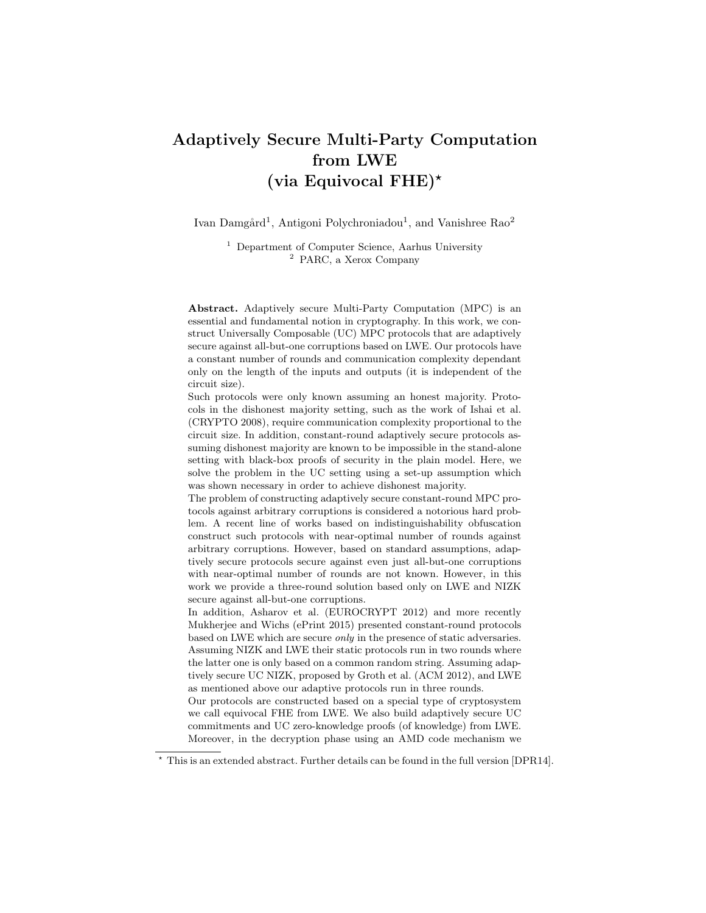# Adaptively Secure Multi-Party Computation from LWE (via Equivocal FHE) $*$

Ivan Damgård<sup>1</sup>, Antigoni Polychroniadou<sup>1</sup>, and Vanishree Rao<sup>2</sup>

<sup>1</sup> Department of Computer Science, Aarhus University <sup>2</sup> PARC, a Xerox Company

Abstract. Adaptively secure Multi-Party Computation (MPC) is an essential and fundamental notion in cryptography. In this work, we construct Universally Composable (UC) MPC protocols that are adaptively secure against all-but-one corruptions based on LWE. Our protocols have a constant number of rounds and communication complexity dependant only on the length of the inputs and outputs (it is independent of the circuit size).

Such protocols were only known assuming an honest majority. Protocols in the dishonest majority setting, such as the work of Ishai et al. (CRYPTO 2008), require communication complexity proportional to the circuit size. In addition, constant-round adaptively secure protocols assuming dishonest majority are known to be impossible in the stand-alone setting with black-box proofs of security in the plain model. Here, we solve the problem in the UC setting using a set-up assumption which was shown necessary in order to achieve dishonest majority.

The problem of constructing adaptively secure constant-round MPC protocols against arbitrary corruptions is considered a notorious hard problem. A recent line of works based on indistinguishability obfuscation construct such protocols with near-optimal number of rounds against arbitrary corruptions. However, based on standard assumptions, adaptively secure protocols secure against even just all-but-one corruptions with near-optimal number of rounds are not known. However, in this work we provide a three-round solution based only on LWE and NIZK secure against all-but-one corruptions.

In addition, Asharov et al. (EUROCRYPT 2012) and more recently Mukherjee and Wichs (ePrint 2015) presented constant-round protocols based on LWE which are secure only in the presence of static adversaries. Assuming NIZK and LWE their static protocols run in two rounds where the latter one is only based on a common random string. Assuming adaptively secure UC NIZK, proposed by Groth et al. (ACM 2012), and LWE as mentioned above our adaptive protocols run in three rounds.

Our protocols are constructed based on a special type of cryptosystem we call equivocal FHE from LWE. We also build adaptively secure UC commitments and UC zero-knowledge proofs (of knowledge) from LWE. Moreover, in the decryption phase using an AMD code mechanism we

<sup>?</sup> This is an extended abstract. Further details can be found in the full version [DPR14].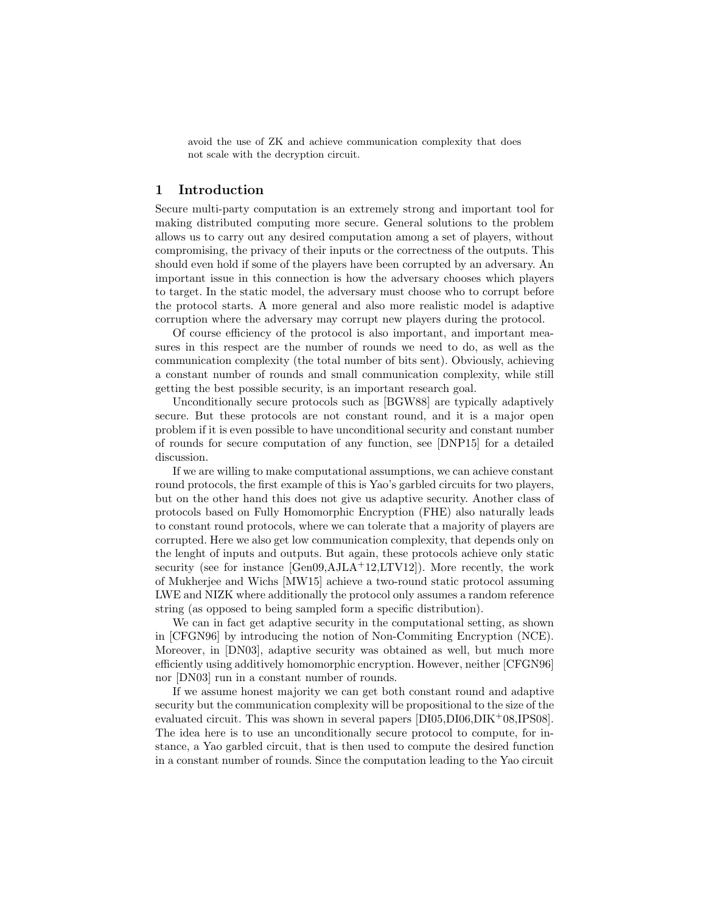avoid the use of ZK and achieve communication complexity that does not scale with the decryption circuit.

# 1 Introduction

Secure multi-party computation is an extremely strong and important tool for making distributed computing more secure. General solutions to the problem allows us to carry out any desired computation among a set of players, without compromising, the privacy of their inputs or the correctness of the outputs. This should even hold if some of the players have been corrupted by an adversary. An important issue in this connection is how the adversary chooses which players to target. In the static model, the adversary must choose who to corrupt before the protocol starts. A more general and also more realistic model is adaptive corruption where the adversary may corrupt new players during the protocol.

Of course efficiency of the protocol is also important, and important measures in this respect are the number of rounds we need to do, as well as the communication complexity (the total number of bits sent). Obviously, achieving a constant number of rounds and small communication complexity, while still getting the best possible security, is an important research goal.

Unconditionally secure protocols such as [BGW88] are typically adaptively secure. But these protocols are not constant round, and it is a major open problem if it is even possible to have unconditional security and constant number of rounds for secure computation of any function, see [DNP15] for a detailed discussion.

If we are willing to make computational assumptions, we can achieve constant round protocols, the first example of this is Yao's garbled circuits for two players, but on the other hand this does not give us adaptive security. Another class of protocols based on Fully Homomorphic Encryption (FHE) also naturally leads to constant round protocols, where we can tolerate that a majority of players are corrupted. Here we also get low communication complexity, that depends only on the lenght of inputs and outputs. But again, these protocols achieve only static security (see for instance  $[Gen09, AJLA + 12, LTV12]$ ). More recently, the work of Mukherjee and Wichs [MW15] achieve a two-round static protocol assuming LWE and NIZK where additionally the protocol only assumes a random reference string (as opposed to being sampled form a specific distribution).

We can in fact get adaptive security in the computational setting, as shown in [CFGN96] by introducing the notion of Non-Commiting Encryption (NCE). Moreover, in [DN03], adaptive security was obtained as well, but much more efficiently using additively homomorphic encryption. However, neither [CFGN96] nor [DN03] run in a constant number of rounds.

If we assume honest majority we can get both constant round and adaptive security but the communication complexity will be propositional to the size of the evaluated circuit. This was shown in several papers [DI05,DI06,DIK+08,IPS08]. The idea here is to use an unconditionally secure protocol to compute, for instance, a Yao garbled circuit, that is then used to compute the desired function in a constant number of rounds. Since the computation leading to the Yao circuit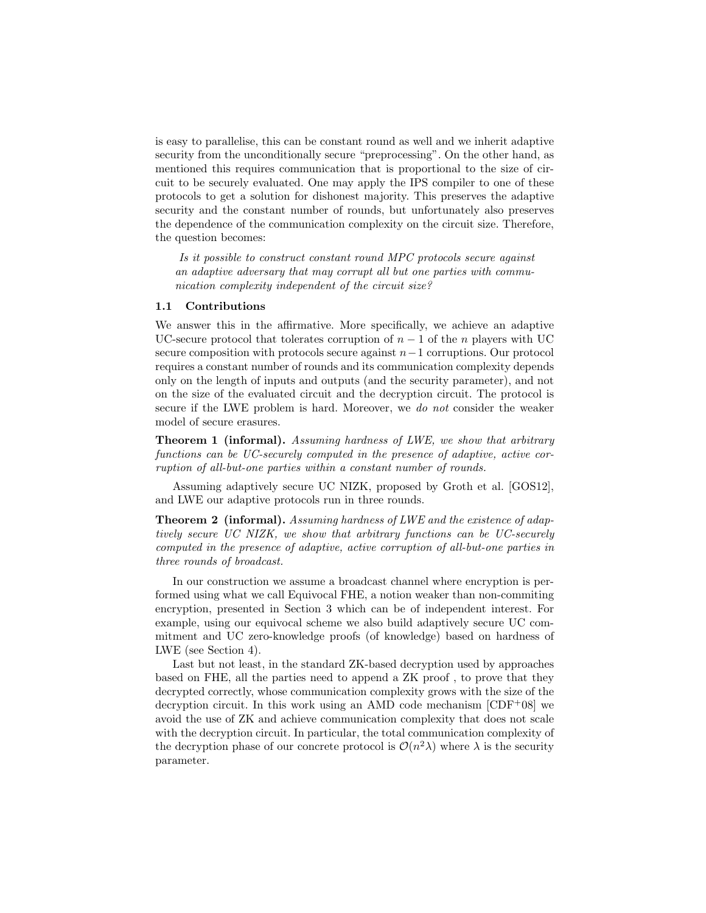is easy to parallelise, this can be constant round as well and we inherit adaptive security from the unconditionally secure "preprocessing". On the other hand, as mentioned this requires communication that is proportional to the size of circuit to be securely evaluated. One may apply the IPS compiler to one of these protocols to get a solution for dishonest majority. This preserves the adaptive security and the constant number of rounds, but unfortunately also preserves the dependence of the communication complexity on the circuit size. Therefore, the question becomes:

Is it possible to construct constant round MPC protocols secure against an adaptive adversary that may corrupt all but one parties with communication complexity independent of the circuit size?

#### 1.1 Contributions

We answer this in the affirmative. More specifically, we achieve an adaptive UC-secure protocol that tolerates corruption of  $n-1$  of the n players with UC secure composition with protocols secure against  $n-1$  corruptions. Our protocol requires a constant number of rounds and its communication complexity depends only on the length of inputs and outputs (and the security parameter), and not on the size of the evaluated circuit and the decryption circuit. The protocol is secure if the LWE problem is hard. Moreover, we do not consider the weaker model of secure erasures.

**Theorem 1 (informal).** Assuming hardness of LWE, we show that arbitrary functions can be UC-securely computed in the presence of adaptive, active corruption of all-but-one parties within a constant number of rounds.

Assuming adaptively secure UC NIZK, proposed by Groth et al. [GOS12], and LWE our adaptive protocols run in three rounds.

Theorem 2 (informal). Assuming hardness of LWE and the existence of adaptively secure UC NIZK, we show that arbitrary functions can be UC-securely computed in the presence of adaptive, active corruption of all-but-one parties in three rounds of broadcast.

In our construction we assume a broadcast channel where encryption is performed using what we call Equivocal FHE, a notion weaker than non-commiting encryption, presented in Section 3 which can be of independent interest. For example, using our equivocal scheme we also build adaptively secure UC commitment and UC zero-knowledge proofs (of knowledge) based on hardness of LWE (see Section 4).

Last but not least, in the standard ZK-based decryption used by approaches based on FHE, all the parties need to append a ZK proof , to prove that they decrypted correctly, whose communication complexity grows with the size of the decryption circuit. In this work using an AMD code mechanism  $[CDF+08]$  we avoid the use of ZK and achieve communication complexity that does not scale with the decryption circuit. In particular, the total communication complexity of the decryption phase of our concrete protocol is  $\mathcal{O}(n^2\lambda)$  where  $\lambda$  is the security parameter.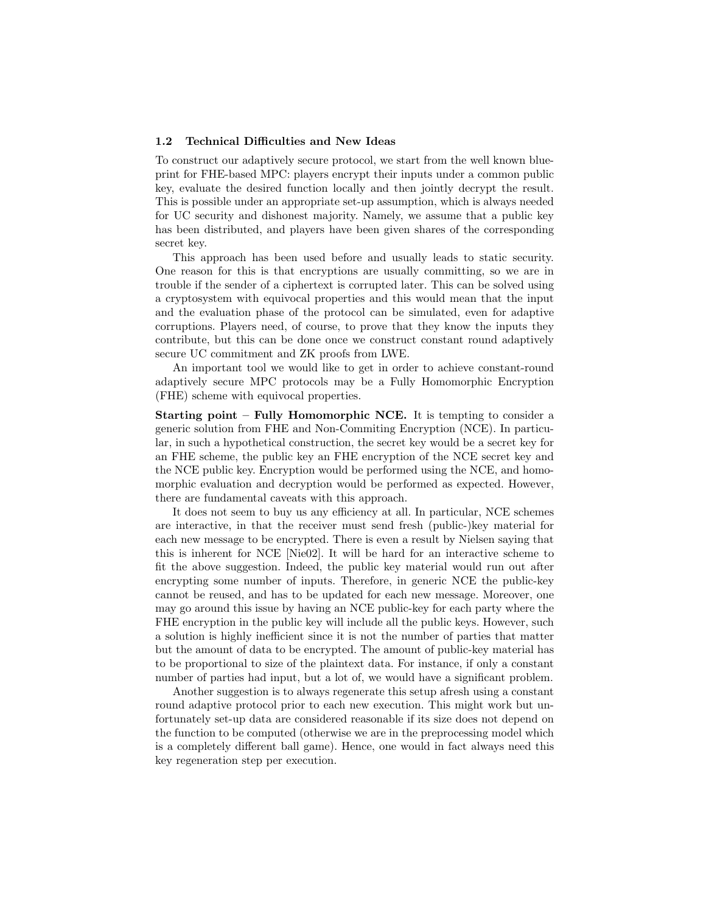### 1.2 Technical Difficulties and New Ideas

To construct our adaptively secure protocol, we start from the well known blueprint for FHE-based MPC: players encrypt their inputs under a common public key, evaluate the desired function locally and then jointly decrypt the result. This is possible under an appropriate set-up assumption, which is always needed for UC security and dishonest majority. Namely, we assume that a public key has been distributed, and players have been given shares of the corresponding secret key.

This approach has been used before and usually leads to static security. One reason for this is that encryptions are usually committing, so we are in trouble if the sender of a ciphertext is corrupted later. This can be solved using a cryptosystem with equivocal properties and this would mean that the input and the evaluation phase of the protocol can be simulated, even for adaptive corruptions. Players need, of course, to prove that they know the inputs they contribute, but this can be done once we construct constant round adaptively secure UC commitment and ZK proofs from LWE.

An important tool we would like to get in order to achieve constant-round adaptively secure MPC protocols may be a Fully Homomorphic Encryption (FHE) scheme with equivocal properties.

**Starting point – Fully Homomorphic NCE.** It is tempting to consider a generic solution from FHE and Non-Commiting Encryption (NCE). In particular, in such a hypothetical construction, the secret key would be a secret key for an FHE scheme, the public key an FHE encryption of the NCE secret key and the NCE public key. Encryption would be performed using the NCE, and homomorphic evaluation and decryption would be performed as expected. However, there are fundamental caveats with this approach.

It does not seem to buy us any efficiency at all. In particular, NCE schemes are interactive, in that the receiver must send fresh (public-)key material for each new message to be encrypted. There is even a result by Nielsen saying that this is inherent for NCE [Nie02]. It will be hard for an interactive scheme to fit the above suggestion. Indeed, the public key material would run out after encrypting some number of inputs. Therefore, in generic NCE the public-key cannot be reused, and has to be updated for each new message. Moreover, one may go around this issue by having an NCE public-key for each party where the FHE encryption in the public key will include all the public keys. However, such a solution is highly inefficient since it is not the number of parties that matter but the amount of data to be encrypted. The amount of public-key material has to be proportional to size of the plaintext data. For instance, if only a constant number of parties had input, but a lot of, we would have a significant problem.

Another suggestion is to always regenerate this setup afresh using a constant round adaptive protocol prior to each new execution. This might work but unfortunately set-up data are considered reasonable if its size does not depend on the function to be computed (otherwise we are in the preprocessing model which is a completely different ball game). Hence, one would in fact always need this key regeneration step per execution.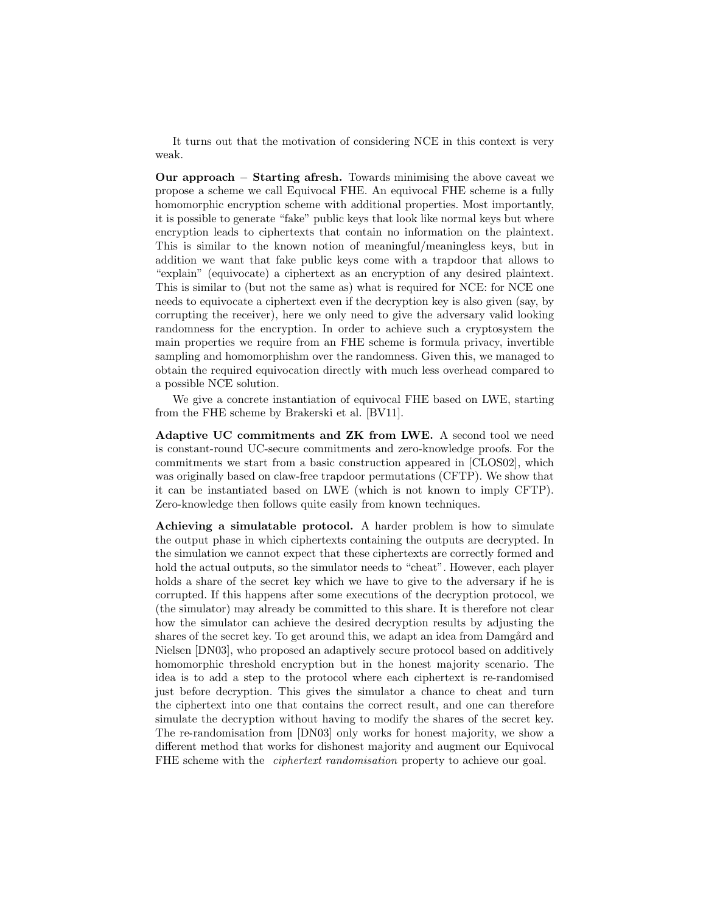It turns out that the motivation of considering NCE in this context is very weak.

Our approach − Starting afresh. Towards minimising the above caveat we propose a scheme we call Equivocal FHE. An equivocal FHE scheme is a fully homomorphic encryption scheme with additional properties. Most importantly, it is possible to generate "fake" public keys that look like normal keys but where encryption leads to ciphertexts that contain no information on the plaintext. This is similar to the known notion of meaningful/meaningless keys, but in addition we want that fake public keys come with a trapdoor that allows to "explain" (equivocate) a ciphertext as an encryption of any desired plaintext. This is similar to (but not the same as) what is required for NCE: for NCE one needs to equivocate a ciphertext even if the decryption key is also given (say, by corrupting the receiver), here we only need to give the adversary valid looking randomness for the encryption. In order to achieve such a cryptosystem the main properties we require from an FHE scheme is formula privacy, invertible sampling and homomorphishm over the randomness. Given this, we managed to obtain the required equivocation directly with much less overhead compared to a possible NCE solution.

We give a concrete instantiation of equivocal FHE based on LWE, starting from the FHE scheme by Brakerski et al. [BV11].

Adaptive UC commitments and ZK from LWE. A second tool we need is constant-round UC-secure commitments and zero-knowledge proofs. For the commitments we start from a basic construction appeared in [CLOS02], which was originally based on claw-free trapdoor permutations (CFTP). We show that it can be instantiated based on LWE (which is not known to imply CFTP). Zero-knowledge then follows quite easily from known techniques.

Achieving a simulatable protocol. A harder problem is how to simulate the output phase in which ciphertexts containing the outputs are decrypted. In the simulation we cannot expect that these ciphertexts are correctly formed and hold the actual outputs, so the simulator needs to "cheat". However, each player holds a share of the secret key which we have to give to the adversary if he is corrupted. If this happens after some executions of the decryption protocol, we (the simulator) may already be committed to this share. It is therefore not clear how the simulator can achieve the desired decryption results by adjusting the shares of the secret key. To get around this, we adapt an idea from Damgård and Nielsen [DN03], who proposed an adaptively secure protocol based on additively homomorphic threshold encryption but in the honest majority scenario. The idea is to add a step to the protocol where each ciphertext is re-randomised just before decryption. This gives the simulator a chance to cheat and turn the ciphertext into one that contains the correct result, and one can therefore simulate the decryption without having to modify the shares of the secret key. The re-randomisation from [DN03] only works for honest majority, we show a different method that works for dishonest majority and augment our Equivocal FHE scheme with the *ciphertext randomisation* property to achieve our goal.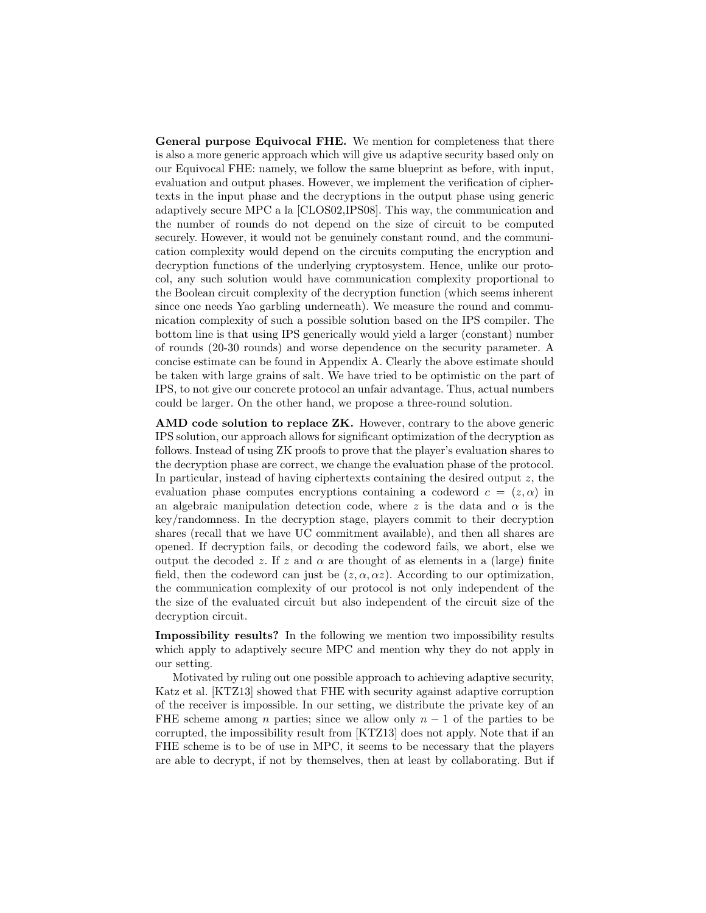General purpose Equivocal FHE. We mention for completeness that there is also a more generic approach which will give us adaptive security based only on our Equivocal FHE: namely, we follow the same blueprint as before, with input, evaluation and output phases. However, we implement the verification of ciphertexts in the input phase and the decryptions in the output phase using generic adaptively secure MPC a la [CLOS02,IPS08]. This way, the communication and the number of rounds do not depend on the size of circuit to be computed securely. However, it would not be genuinely constant round, and the communication complexity would depend on the circuits computing the encryption and decryption functions of the underlying cryptosystem. Hence, unlike our protocol, any such solution would have communication complexity proportional to the Boolean circuit complexity of the decryption function (which seems inherent since one needs Yao garbling underneath). We measure the round and communication complexity of such a possible solution based on the IPS compiler. The bottom line is that using IPS generically would yield a larger (constant) number of rounds (20-30 rounds) and worse dependence on the security parameter. A concise estimate can be found in Appendix A. Clearly the above estimate should be taken with large grains of salt. We have tried to be optimistic on the part of IPS, to not give our concrete protocol an unfair advantage. Thus, actual numbers could be larger. On the other hand, we propose a three-round solution.

AMD code solution to replace ZK. However, contrary to the above generic IPS solution, our approach allows for significant optimization of the decryption as follows. Instead of using ZK proofs to prove that the player's evaluation shares to the decryption phase are correct, we change the evaluation phase of the protocol. In particular, instead of having ciphertexts containing the desired output  $z$ , the evaluation phase computes encryptions containing a codeword  $c = (z, \alpha)$  in an algebraic manipulation detection code, where z is the data and  $\alpha$  is the key/randomness. In the decryption stage, players commit to their decryption shares (recall that we have UC commitment available), and then all shares are opened. If decryption fails, or decoding the codeword fails, we abort, else we output the decoded z. If z and  $\alpha$  are thought of as elements in a (large) finite field, then the codeword can just be  $(z, \alpha, \alpha z)$ . According to our optimization, the communication complexity of our protocol is not only independent of the the size of the evaluated circuit but also independent of the circuit size of the decryption circuit.

Impossibility results? In the following we mention two impossibility results which apply to adaptively secure MPC and mention why they do not apply in our setting.

Motivated by ruling out one possible approach to achieving adaptive security, Katz et al. [KTZ13] showed that FHE with security against adaptive corruption of the receiver is impossible. In our setting, we distribute the private key of an FHE scheme among n parties; since we allow only  $n-1$  of the parties to be corrupted, the impossibility result from [KTZ13] does not apply. Note that if an FHE scheme is to be of use in MPC, it seems to be necessary that the players are able to decrypt, if not by themselves, then at least by collaborating. But if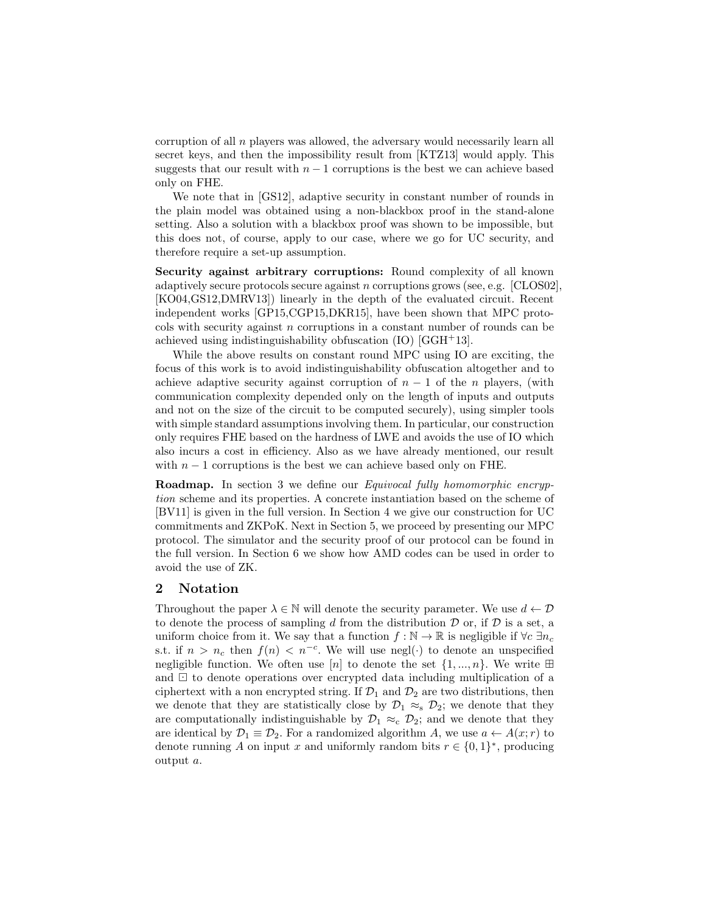corruption of all n players was allowed, the adversary would necessarily learn all secret keys, and then the impossibility result from [KTZ13] would apply. This suggests that our result with  $n-1$  corruptions is the best we can achieve based only on FHE.

We note that in [GS12], adaptive security in constant number of rounds in the plain model was obtained using a non-blackbox proof in the stand-alone setting. Also a solution with a blackbox proof was shown to be impossible, but this does not, of course, apply to our case, where we go for UC security, and therefore require a set-up assumption.

Security against arbitrary corruptions: Round complexity of all known adaptively secure protocols secure against n corruptions grows (see, e.g. [CLOS02], [KO04,GS12,DMRV13]) linearly in the depth of the evaluated circuit. Recent independent works [GP15,CGP15,DKR15], have been shown that MPC proto- $\cosh$  with security against *n* corruptions in a constant number of rounds can be achieved using indistinguishability obfuscation (IO) [GGH+13].

While the above results on constant round MPC using IO are exciting, the focus of this work is to avoid indistinguishability obfuscation altogether and to achieve adaptive security against corruption of  $n-1$  of the n players, (with communication complexity depended only on the length of inputs and outputs and not on the size of the circuit to be computed securely), using simpler tools with simple standard assumptions involving them. In particular, our construction only requires FHE based on the hardness of LWE and avoids the use of IO which also incurs a cost in efficiency. Also as we have already mentioned, our result with  $n-1$  corruptions is the best we can achieve based only on FHE.

Roadmap. In section 3 we define our Equivocal fully homomorphic encryption scheme and its properties. A concrete instantiation based on the scheme of [BV11] is given in the full version. In Section 4 we give our construction for UC commitments and ZKPoK. Next in Section 5, we proceed by presenting our MPC protocol. The simulator and the security proof of our protocol can be found in the full version. In Section 6 we show how AMD codes can be used in order to avoid the use of ZK.

# 2 Notation

Throughout the paper  $\lambda \in \mathbb{N}$  will denote the security parameter. We use  $d \leftarrow \mathcal{D}$ to denote the process of sampling d from the distribution  $\mathcal D$  or, if  $\mathcal D$  is a set, a uniform choice from it. We say that a function  $f : \mathbb{N} \to \mathbb{R}$  is negligible if  $\forall c \exists n_c$ s.t. if  $n > n_c$  then  $f(n) < n^{-c}$ . We will use negl(.) to denote an unspecified negligible function. We often use [n] to denote the set  $\{1, ..., n\}$ . We write  $\boxplus$ and  $\Xi$  to denote operations over encrypted data including multiplication of a ciphertext with a non encrypted string. If  $\mathcal{D}_1$  and  $\mathcal{D}_2$  are two distributions, then we denote that they are statistically close by  $\mathcal{D}_1 \approx_{\rm s} \mathcal{D}_2$ ; we denote that they are computationally indistinguishable by  $\mathcal{D}_1 \approx_c \mathcal{D}_2$ ; and we denote that they are identical by  $\mathcal{D}_1 \equiv \mathcal{D}_2$ . For a randomized algorithm A, we use  $a \leftarrow A(x; r)$  to denote running A on input x and uniformly random bits  $r \in \{0,1\}^*$ , producing output a.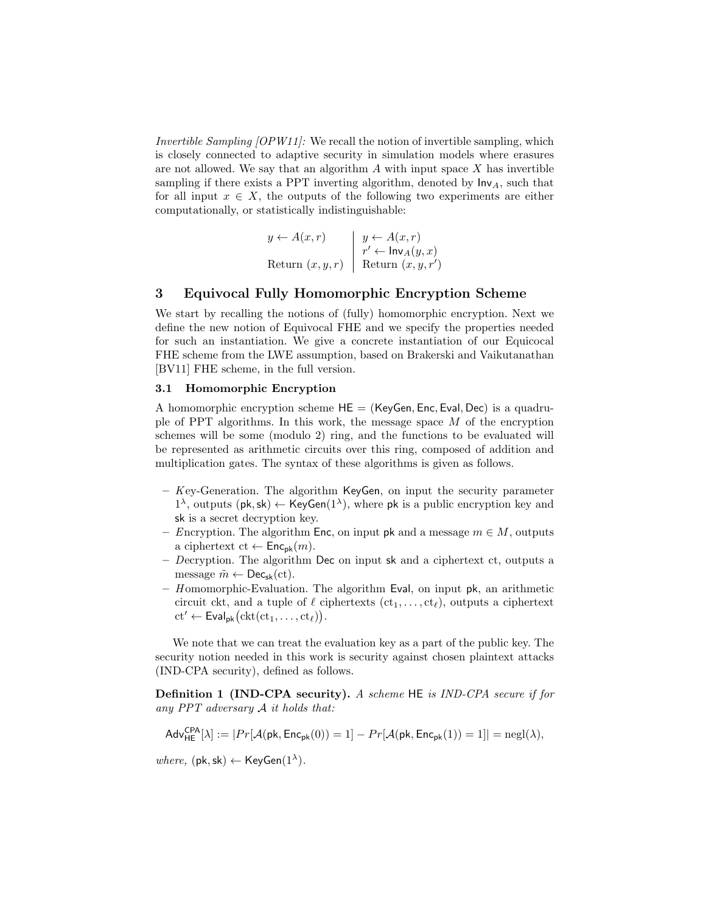Invertible Sampling  $[OPW11]$ : We recall the notion of invertible sampling, which is closely connected to adaptive security in simulation models where erasures are not allowed. We say that an algorithm  $A$  with input space  $X$  has invertible sampling if there exists a PPT inverting algorithm, denoted by  $\mathsf{Inv}_A$ , such that for all input  $x \in X$ , the outputs of the following two experiments are either computationally, or statistically indistinguishable:

$$
y \leftarrow A(x, r)
$$
  
\n
$$
y \leftarrow A(x, r)
$$
  
\n
$$
r' \leftarrow \ln \nu_A(y, x)
$$
  
\nReturn  $(x, y, r')$   
\nReturn  $(x, y, r')$ 

# 3 Equivocal Fully Homomorphic Encryption Scheme

We start by recalling the notions of (fully) homomorphic encryption. Next we define the new notion of Equivocal FHE and we specify the properties needed for such an instantiation. We give a concrete instantiation of our Equicocal FHE scheme from the LWE assumption, based on Brakerski and Vaikutanathan [BV11] FHE scheme, in the full version.

### 3.1 Homomorphic Encryption

A homomorphic encryption scheme  $HE = (KeyGen, Enc,Eval, Dec)$  is a quadruple of PPT algorithms. In this work, the message space  $M$  of the encryption schemes will be some (modulo 2) ring, and the functions to be evaluated will be represented as arithmetic circuits over this ring, composed of addition and multiplication gates. The syntax of these algorithms is given as follows.

- $-$  Key-Generation. The algorithm KeyGen, on input the security parameter  $1^{\lambda}$ , outputs (pk, sk)  $\leftarrow$  KeyGen( $1^{\lambda}$ ), where pk is a public encryption key and sk is a secret decryption key.
- Encryption. The algorithm Enc, on input pk and a message  $m \in M$ , outputs a ciphertext ct  $\leftarrow$  Enc<sub>pk</sub> $(m)$ .
- Decryption. The algorithm Dec on input sk and a ciphertext ct, outputs a message  $\tilde{m} \leftarrow \mathsf{Dec}_{\mathsf{sk}}(\mathrm{ct}).$
- $-$  Homomorphic-Evaluation. The algorithm Eval, on input pk, an arithmetic circuit ckt, and a tuple of  $\ell$  ciphertexts  $(ct_1, \ldots, ct_\ell)$ , outputs a ciphertext  $\mathrm{ct}' \leftarrow \mathsf{Eval}_{\mathsf{pk}}\big(\mathrm{ckt}(\mathrm{ct}_1, \ldots, \mathrm{ct}_\ell)\big).$

We note that we can treat the evaluation key as a part of the public key. The security notion needed in this work is security against chosen plaintext attacks (IND-CPA security), defined as follows.

Definition 1 (IND-CPA security). A scheme HE is IND-CPA secure if for any  $PPT$  adversary  $A$  it holds that:

$$
\mathsf{Adv}^{\mathsf{CPA}}_{\mathsf{HE}}[\lambda] := |Pr[\mathcal{A}(\mathsf{pk}, \mathsf{Enc}_{\mathsf{pk}}(0)) = 1] - Pr[\mathcal{A}(\mathsf{pk}, \mathsf{Enc}_{\mathsf{pk}}(1)) = 1]| = \mathsf{negl}(\lambda),
$$

where,  $(\mathsf{pk}, \mathsf{sk}) \leftarrow \mathsf{KeyGen}(1^{\lambda})$ .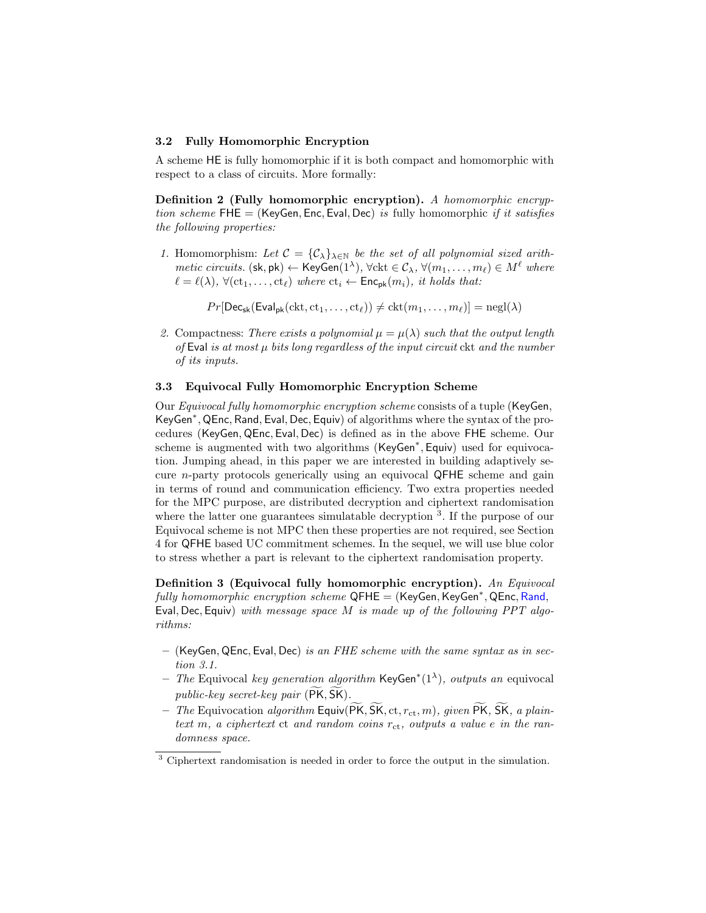### 3.2 Fully Homomorphic Encryption

A scheme HE is fully homomorphic if it is both compact and homomorphic with respect to a class of circuits. More formally:

Definition 2 (Fully homomorphic encryption). A homomorphic encryption scheme FHE = (KeyGen, Enc, Eval, Dec) is fully homomorphic if it satisfies the following properties:

1. Homomorphism: Let  $\mathcal{C} = {\mathcal{C}_{\lambda}}_{\lambda \in \mathbb{N}}$  be the set of all polynomial sized arithmetic circuits.  $(\mathsf{sk}, \mathsf{pk}) \leftarrow \mathsf{KeyGen}(1^{\lambda}), \forall \text{ckt} \in \mathcal{C}_{\lambda}, \forall (m_1, \ldots, m_\ell) \in M^\ell$  where  $\ell = \ell(\lambda), \forall$ (ct<sub>1</sub>, ..., ct<sub> $\ell$ </sub>) where ct<sub>i</sub>  $\leftarrow$  **Enc**<sub>pk</sub> $(m_i)$ , it holds that:

 $Pr[\textsf{Dec}_{\textsf{sk}}(\textsf{Eval}_{\textsf{nk}}(\textsf{ckt}, \textsf{ct}_1, \ldots, \textsf{ct}_\ell)) \neq \textsf{ckt}(m_1, \ldots, m_\ell)] = \textsf{negl}(\lambda)$ 

2. Compactness: There exists a polynomial  $\mu = \mu(\lambda)$  such that the output length of Eval is at most  $\mu$  bits long regardless of the input circuit ckt and the number of its inputs.

### 3.3 Equivocal Fully Homomorphic Encryption Scheme

Our Equivocal fully homomorphic encryption scheme consists of a tuple (KeyGen, KeyGen<sup>∗</sup> , QEnc, Rand, Eval, Dec, Equiv) of algorithms where the syntax of the procedures (KeyGen, QEnc, Eval, Dec) is defined as in the above FHE scheme. Our scheme is augmented with two algorithms (KeyGen<sup>\*</sup>, Equiv) used for equivocation. Jumping ahead, in this paper we are interested in building adaptively secure n-party protocols generically using an equivocal QFHE scheme and gain in terms of round and communication efficiency. Two extra properties needed for the MPC purpose, are distributed decryption and ciphertext randomisation where the latter one guarantees simulatable decryption  $3$ . If the purpose of our Equivocal scheme is not MPC then these properties are not required, see Section 4 for QFHE based UC commitment schemes. In the sequel, we will use blue color to stress whether a part is relevant to the ciphertext randomisation property.

Definition 3 (Equivocal fully homomorphic encryption). An Equivocal  $fully \ homomorphic \ encryption \ scheme$   $Q$ FHE =  $(KeyGen, KeyGen^*, QEnc, Rand,$ Eval, Dec, Equiv) with message space M is made up of the following PPT algorithms:

- (KeyGen, QEnc, Eval, Dec) is an FHE scheme with the same syntax as in section 3.1.
- The Equivocal key generation algorithm  $KeyGen^*(1^{\lambda})$ , outputs an equivocal public-key secret-key pair  $(\overline{PK}, \overline{SK})$ .
- The Equivocation algorithm Equiv(PK,  $\widetilde{\mathsf{SK}}, \mathrm{ct}, r_{\text{ct}}, m$ ), given PK,  $\widetilde{\mathsf{SK}}, a$  plaintext m, a ciphertext ct and random coins  $r_{ct}$ , outputs a value e in the randomness space.

<sup>&</sup>lt;sup>3</sup> Ciphertext randomisation is needed in order to force the output in the simulation.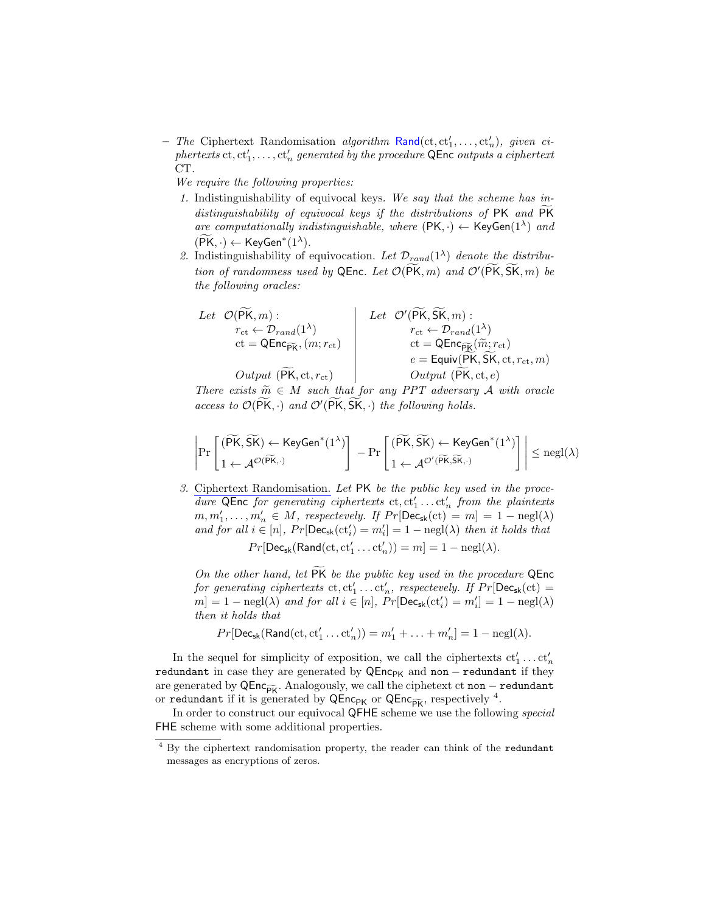- The Ciphertext Randomisation algorithm  $\text{Rand}(\text{ct}, \text{ct}'_1, \ldots, \text{ct}'_n)$ , given ciphertexts  $ct, ct'_1, \ldots, ct'_n$  generated by the procedure QEnc outputs a ciphertext CT.

We require the following properties:

- 1. Indistinguishability of equivocal keys. We say that the scheme has indistinguishability of equivocal keys if the distributions of  $PK$  and  $PK$ are computationally indistinguishable, where  $(\mathsf{PK}, \cdot) \leftarrow \mathsf{KeyGen}(1^{\lambda})$  and  $(\widetilde{\mathsf{PK}}, \cdot) \leftarrow \mathsf{KeyGen}^*(1^{\lambda}).$
- 2. Indistinguishability of equivocation. Let  $\mathcal{D}_{rand}(1^{\lambda})$  denote the distribution of randomness used by QEnc. Let  $\mathcal{O}(PK, m)$  and  $\mathcal{O}'(\overline{PK}, \overline{SK}, m)$  be the following oracles:

Let 
$$
O(\widetilde{PK}, m)
$$
:  
\n
$$
r_{ct} \leftarrow \mathcal{D}_{rand}(1^{\lambda})
$$
\n
$$
ct = QEnc_{\widetilde{PK}}, (m; r_{ct})
$$
\n
$$
Output (\widetilde{PK}, ct, r_{ct})
$$
\n
$$
Output (\widetilde{PK}, ct, r_{ct})
$$
\n
$$
Output (\widetilde{PK}, ct, r_{ct})
$$
\n
$$
Output (\widetilde{PK}, ct, e)
$$

There exists  $\tilde{m} \in M$  such that for any PPT adversary A with oracle access to  $\mathcal{O}(\overline{PK}, \cdot)$  and  $\mathcal{O}'(\overline{PK}, \overline{SK}, \cdot)$  the following holds.

$$
\left|\Pr\left[\frac{(\widetilde{\mathsf{PK}},\widetilde{\mathsf{SK}})\leftarrow \mathsf{KeyGen}^*(1^\lambda)}{1\leftarrow\mathcal{A}^{\mathcal{O}(\widetilde{\mathsf{PK}},\cdot)}}\right]-\Pr\left[\frac{(\widetilde{\mathsf{PK}},\widetilde{\mathsf{SK}})\leftarrow \mathsf{KeyGen}^*(1^\lambda)}{1\leftarrow\mathcal{A}^{\mathcal{O}'(\widetilde{\mathsf{PK}},\widetilde{\mathsf{SK}},\cdot)}}\right]\right|\leq \mathrm{negl}(\lambda)
$$

3. Ciphertext Randomisation. Let PK be the public key used in the proce- $\overline{dure}$  QEnc for generating ciphertexts  $\text{ct}, \text{ct}'_1 \dots \text{ct}'_n$  from the plaintexts  $m, m'_1, \ldots, m'_n \in M$ , respectevely. If  $Pr[\textsf{Dec}_{\textsf{sk}}(\textsf{ct}) = m] = 1 - \textsf{negl}(\lambda)$ and for all  $i \in [n]$ ,  $Pr[\mathsf{Dec}_{\mathsf{sk}}(\mathrm{ct}'_i) = m'_i] = 1 - \mathrm{negl}(\lambda)$  then it holds that  $Pr[\mathsf{Dec}_{\mathsf{sk}}(\mathsf{Rand}(\mathrm{ct},\mathrm{ct}_1'\ldots\mathrm{ct}_n')) = m] = 1 - \mathrm{negl}(\lambda).$ 

On the other hand, let  $\overline{PK}$  be the public key used in the procedure  $\overline{QEnc}$ for generating ciphertexts  $ct, ct'_1 \ldots ct'_n$ , respectevely. If  $Pr[Dec_{sk}(ct) =$  $m] = 1 - \text{negl}(\lambda)$  and for all  $i \in [n]$ ,  $Pr[\text{Dec}_{\text{sk}}(\text{ct}'_i) = m'_i] = 1 - \text{negl}(\lambda)$ then it holds that

$$
Pr[Dec_{sk}(Rand(ct, ct'_1 \dots ct'_n)) = m'_1 + \dots + m'_n] = 1 - negl(\lambda).
$$

In the sequel for simplicity of exposition, we call the ciphertexts  $ct'_1 \dots ct'_n$ redundant in case they are generated by  $QEnc_{PK}$  and non – redundant if they are generated by  $\mathsf{QEnc}_{\widetilde{\mathsf{pk}}}$ . Analogously, we call the ciphetext ct non – redundant or redundant if it is generated by  $QEnc_{PK}$  or  $QEnc_{PK}$ , respectively <sup>4</sup>.

In order to construct our equivocal QFHE scheme we use the following special FHE scheme with some additional properties.

<sup>&</sup>lt;sup>4</sup> By the ciphertext randomisation property, the reader can think of the redundant messages as encryptions of zeros.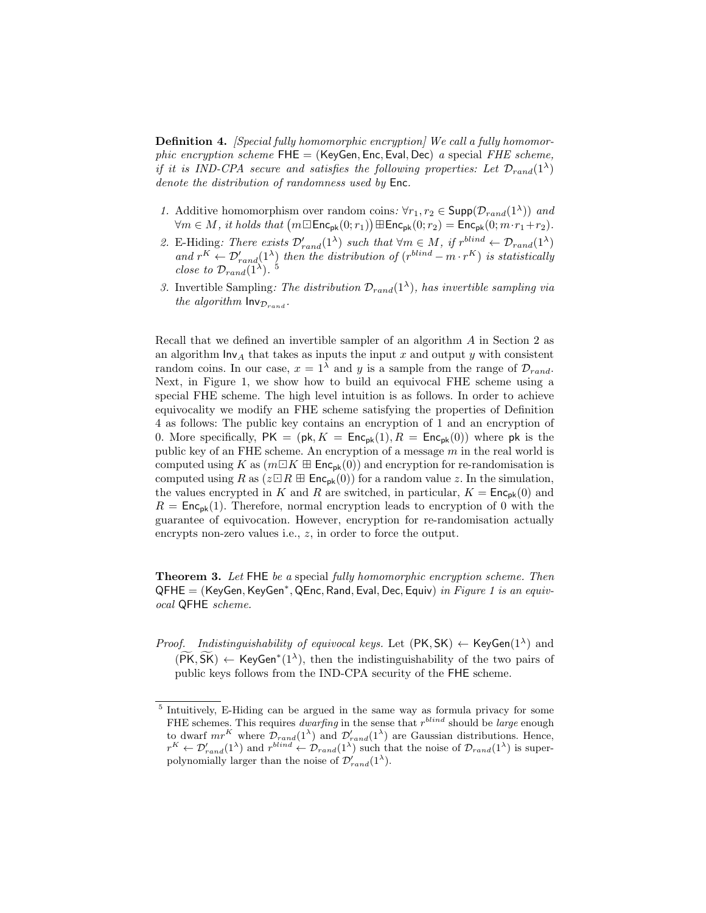**Definition 4.** *[Special fully homomorphic encryption]* We call a fully homomorphic encryption scheme  $FHE = (KeyGen, Enc, Eva, Dec)$  a special  $FHE$  scheme, if it is IND-CPA secure and satisfies the following properties: Let  $\mathcal{D}_{rand}(1^{\lambda})$ denote the distribution of randomness used by Enc.

- 1. Additive homomorphism over random coins:  $\forall r_1, r_2 \in \mathsf{Supp}(\mathcal{D}_{rand}(1^{\lambda}))$  and  $\forall m \in M$ , it holds that  $(m \Box \mathsf{Enc}_{\mathsf{pk}}(0; r_1)) \boxplus \mathsf{Enc}_{\mathsf{pk}}(0; r_2) = \mathsf{Enc}_{\mathsf{pk}}(0; m \cdot r_1 + r_2)$ .
- 2. E-Hiding: There exists  $\mathcal{D}_{rand}'(1^{\lambda})$  such that  $\forall m \in M$ , if  $r^{blind} \leftarrow \mathcal{D}_{rand}(1^{\lambda})$ and  $r^K \leftarrow \mathcal{D}_{rand}'(1^{\lambda})$  then the distribution of  $(r^{blind} - m \cdot r^K)$  is statistically close to  $\mathcal{D}_{rand}(1^{\lambda})$ .<sup>5</sup>
- 3. Invertible Sampling: The distribution  $\mathcal{D}_{rand}(1^{\lambda})$ , has invertible sampling via the algorithm  $Inv_{\mathcal{D}_{rand}}$ .

Recall that we defined an invertible sampler of an algorithm A in Section 2 as an algorithm  $\ln y_A$  that takes as inputs the input x and output y with consistent random coins. In our case,  $x = 1^{\lambda}$  and y is a sample from the range of  $\mathcal{D}_{rand}$ . Next, in Figure 1, we show how to build an equivocal FHE scheme using a special FHE scheme. The high level intuition is as follows. In order to achieve equivocality we modify an FHE scheme satisfying the properties of Definition 4 as follows: The public key contains an encryption of 1 and an encryption of 0. More specifically,  $PK = (pk, K = Enc_{pk}(1), R = Enc_{pk}(0))$  where pk is the public key of an FHE scheme. An encryption of a message m in the real world is computed using K as  $(m\Box K \boxplus \textsf{Enc}_{\textsf{pk}}(0))$  and encryption for re-randomisation is computed using R as  $(z \square R \boxplus \textsf{Enc}_{pk}(0))$  for a random value z. In the simulation, the values encrypted in K and R are switched, in particular,  $K = \mathsf{Enc}_{\mathsf{pk}}(0)$  and  $R = \text{Enc}_{\text{pk}}(1)$ . Therefore, normal encryption leads to encryption of 0 with the guarantee of equivocation. However, encryption for re-randomisation actually encrypts non-zero values i.e., z, in order to force the output.

Theorem 3. Let FHE be a special fully homomorphic encryption scheme. Then  $Q$ FHE = (KeyGen, KeyGen<sup>\*</sup>, QEnc, Rand, Eval, Dec, Equiv) in Figure 1 is an equivocal QFHE scheme.

*Proof.* Indistinguishability of equivocal keys. Let  $(\mathsf{PK}, \mathsf{SK}) \leftarrow \mathsf{KeyGen}(1^{\lambda})$  and  $(\widetilde{\text{PK}}, \widetilde{\text{SK}}) \leftarrow \text{KeyGen}^*(1^{\lambda}),$  then the indistinguishability of the two pairs of public keys follows from the IND-CPA security of the FHE scheme.

<sup>5</sup> Intuitively, E-Hiding can be argued in the same way as formula privacy for some FHE schemes. This requires *dwarfing* in the sense that  $r^{blind}$  should be *large* enough to dwarf  $mr^{K}$  where  $\mathcal{D}_{rand}(1^{\lambda})$  and  $\mathcal{D}'_{rand}(1^{\lambda})$  are Gaussian distributions. Hence,  $r^K \leftarrow \mathcal{D}'_{rand}(1^{\lambda})$  and  $r^{blind} \leftarrow \mathcal{D}_{rand}(1^{\lambda})$  such that the noise of  $\mathcal{D}_{rand}(1^{\lambda})$  is superpolynomially larger than the noise of  $\mathcal{D}'_{rand}(1^{\lambda})$ .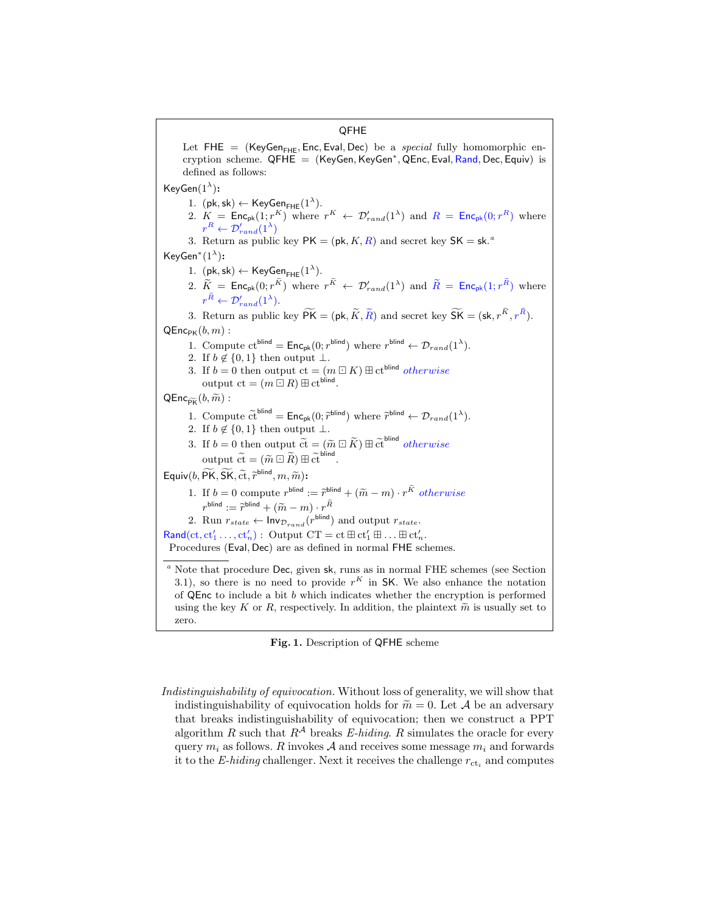# QFHE Let FHE = (KeyGen<sub>FHF</sub>, Enc, Eval, Dec) be a *special* fully homomorphic encryption scheme. QFHE = (KeyGen, KeyGen<sup>\*</sup>, QEnc, Eval, Rand, Dec, Equiv) is defined as follows: KeyGen $(1^{\lambda})$ : 1.  $(\mathsf{pk}, \mathsf{sk}) \leftarrow \mathsf{KeyGen}_{\mathsf{FHE}}(1^{\lambda}).$ 2.  $K = \text{Enc}_{pk}(1; r^K)$  where  $r^K \leftarrow \mathcal{D}_{rand}'(1^{\lambda})$  and  $R = \text{Enc}_{pk}(0; r^R)$  where  $r^R \leftarrow \mathcal{D}_{rand}'(1^{\lambda})$ 3. Return as public key  $PK = (pk, K, R)$  and secret key  $SK = sk$ <sup>a</sup> KeyGen<sup>\*</sup> $(1^{\lambda})$ : 1.  $(\mathsf{pk}, \mathsf{sk}) \leftarrow \mathsf{KeyGen}_{\mathsf{FHE}}(1^{\lambda}).$ 2.  $\widetilde{K} = \text{Enc}_{pk}(0; r^K)$  where  $r^K \leftarrow \mathcal{D}_{rand}'(1^{\lambda})$  and  $\widetilde{R} = \text{Enc}_{pk}(1; r^R)$  where  $r^R \leftarrow \mathcal{D}_{rand}'(1^{\lambda}).$ 3. Return as public key  $\widetilde{\mathsf{PK}} = (\mathsf{pk}, \widetilde{K}, \widetilde{R})$  and secret key  $\widetilde{\mathsf{SK}} = (\mathsf{sk}, r^K, r^R)$ .  $QEnc_{PK}(b, m)$ : 1. Compute  $ct^{\text{blind}} = \text{Enc}_{pk}(0; r^{\text{blind}})$  where  $r^{\text{blind}} \leftarrow \mathcal{D}_{rand}(1^{\lambda}).$ 2. If  $b \notin \{0,1\}$  then output  $\perp$ . 3. If  $b = 0$  then output  $ct = (m \square K) \boxplus ct^{\text{blind}}$  otherwise output  $ct = (m \boxdot R) \boxplus ct^{\text{blind}}$ .  $\mathsf{QEnc}_{\widetilde{\mathsf{PK}}}(b, \widetilde{m})$ : 1. Compute  $\widetilde{ct}^{\text{blind}} = \text{Enc}_{pk}(0; \widetilde{r}^{\text{blind}})$  where  $\widetilde{r}^{\text{blind}} \leftarrow \mathcal{D}_{rand}(1^{\lambda}).$ 2. If  $b \notin \{0,1\}$  then output  $\perp$ . 3. If  $b = 0$  then output  $\widetilde{ct} = (\widetilde{m} \boxdot \widetilde{K}) \boxplus \widetilde{ct}^{\text{blind}}$  otherwise output  $\widetilde{ct} = (\widetilde{m} \boxdot \widetilde{R}) \boxplus \widetilde{ct}^{\sf blind}.$ Equiv $(b, \widetilde{\mathsf{PK}}, \widetilde{\mathsf{SK}}, \widetilde{\mathsf{ct}}, \widetilde{r}^{\mathsf{blind}}, m, \widetilde{m})$ : 1. If  $b = 0$  compute  $r^{\text{blind}} := \tilde{r}^{\text{blind}} + (\tilde{m} - m) \cdot r^K$  otherwise  $r^{\text{blind}} := \widetilde{r}^{\text{blind}} + (\widetilde{m} - m) \cdot r^R$ <br>Pup n (philoson change 2. Run  $r_{state} \leftarrow \text{Inv}_{\mathcal{D}_{rand}}(r^{\text{blind}})$  and output  $r_{state}$ .  $\mathsf{Rand}(\mathsf{ct},\mathsf{ct}'_1 \ldots, \mathsf{ct}'_n)$ : Output  $\mathsf{CT} = \mathsf{ct} \boxplus \mathsf{ct}'_1 \boxplus \ldots \boxplus \mathsf{ct}'_n$ . Procedures (Eval, Dec) are as defined in normal FHE schemes. <sup>a</sup> Note that procedure Dec, given sk, runs as in normal FHE schemes (see Section 3.1), so there is no need to provide  $r^{K}$  in SK. We also enhance the notation of QEnc to include a bit b which indicates whether the encryption is performed using the key K or R, respectively. In addition, the plaintext  $\tilde{m}$  is usually set to zero.

Fig. 1. Description of QFHE scheme

Indistinguishability of equivocation. Without loss of generality, we will show that indistinguishability of equivocation holds for  $\widetilde{m} = 0$ . Let A be an adversary that breaks indistinguishability of equivocation; then we construct a PPT algorithm R such that  $R^{\mathcal{A}}$  breaks E-hiding. R simulates the oracle for every query  $m_i$  as follows. R invokes A and receives some message  $m_i$  and forwards it to the E-hiding challenger. Next it receives the challenge  $r_{ct_i}$  and computes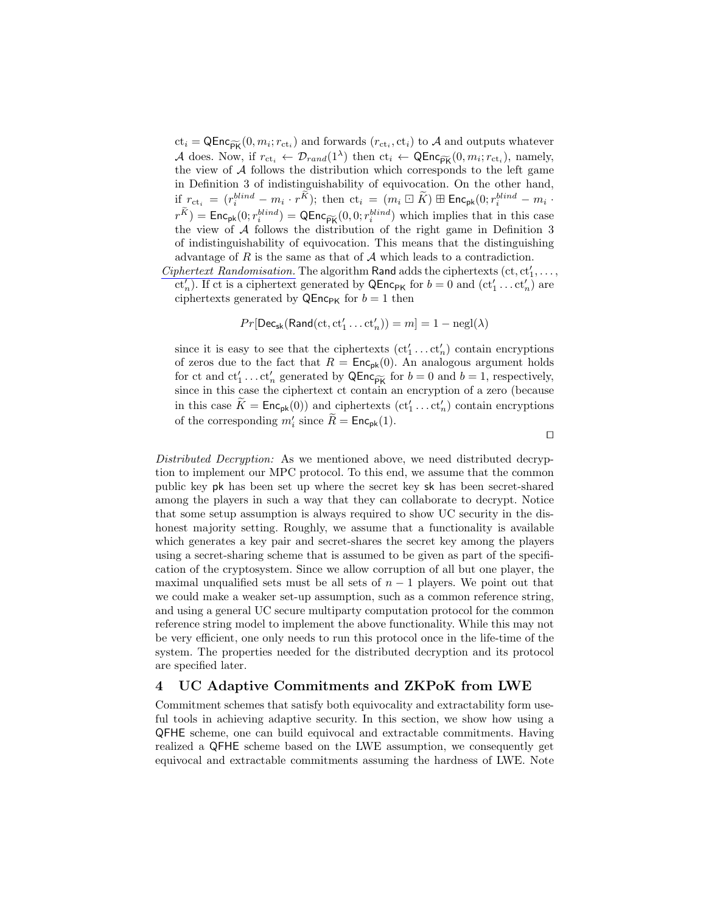$ct_i = \mathsf{QEnc}_{\widetilde{\mathsf{PK}}} (0, m_i; r_{ct_i})$  and forwards  $(r_{ct_i}, ct_i)$  to A and outputs whatever A does. Now, if  $r_{ct_i} \leftarrow \mathcal{D}_{rand}(1^{\lambda})$  then  $ct_i \leftarrow \mathsf{QEnc}_{\widetilde{\mathsf{PK}}}(0, m_i; r_{ct_i})$ , namely,<br>the view of A follows the distribution which convenience to the left games the view of  $A$  follows the distribution which corresponds to the left game in Definition 3 of indistinguishability of equivocation. On the other hand,  $\inf_{\widetilde{\mathcal{F}}ct_i} = (r_i^{blind} - m_i \cdot r^{\widetilde{K}});$  then  $ct_i = (m_i \boxdot \widetilde{K}) \boxplus \mathsf{Enc}_{\mathsf{pk}}(0; r_i^{blind} - m_i \cdot r^{\widetilde{K}});$  $r^{K}$ ) =  $\textsf{Enc}_{\textsf{pk}}(0; r_i^{blind}) = \textsf{QEnc}_{\widetilde{\textsf{PK}}}(0, 0; r_i^{blind})$  which implies that in this case the view of A follows the distribution of the right game in Definition 3 of indistinguishability of equivocation. This means that the distinguishing advantage of  $R$  is the same as that of  $A$  which leads to a contradiction.

*Ciphertext Randomisation*. The algorithm Rand adds the ciphertexts  $(ct, ct'_1, \ldots,$  $ct'_n$ ). If ct is a ciphertext generated by  $\mathsf{QEnc}_{\mathsf{PK}}$  for  $b = 0$  and  $(ct'_1 \dots ct'_n)$  are ciphertexts generated by  $\mathsf{QEnc}_{\mathsf{PK}}$  for  $b = 1$  then

$$
Pr[\mathsf{Dec}_{\mathsf{sk}}(\mathsf{Rand}(\mathsf{ct},\mathsf{ct}_1'\ldots\mathsf{ct}_n')) = m] = 1 - \mathsf{negl}(\lambda)
$$

since it is easy to see that the ciphertexts  $(ct'_1 \dots ct'_n)$  contain encryptions of zeros due to the fact that  $R = \text{Enc}_{pk}(0)$ . An analogous argument holds for ct and  $ct'_1$ ...  $ct'_n$  generated by  $\mathsf{QEnc}_{\widetilde{\mathsf{PK}}}$  for  $b = 0$  and  $b = 1$ , respectively, since in this case the ciphertext ct contain an encryption of a zero (because in this case  $\widetilde{K} = \text{Enc}_{pk}(0)$  and ciphertexts  $(ct'_1 ... ct'_n)$  contain encryptions of the corresponding  $m'_i$  since  $\widetilde{R} = \mathsf{Enc}_{\mathsf{pk}}(1)$ .

 $\Box$ 

Distributed Decryption: As we mentioned above, we need distributed decryption to implement our MPC protocol. To this end, we assume that the common public key pk has been set up where the secret key sk has been secret-shared among the players in such a way that they can collaborate to decrypt. Notice that some setup assumption is always required to show UC security in the dishonest majority setting. Roughly, we assume that a functionality is available which generates a key pair and secret-shares the secret key among the players using a secret-sharing scheme that is assumed to be given as part of the specification of the cryptosystem. Since we allow corruption of all but one player, the maximal unqualified sets must be all sets of  $n-1$  players. We point out that we could make a weaker set-up assumption, such as a common reference string, and using a general UC secure multiparty computation protocol for the common reference string model to implement the above functionality. While this may not be very efficient, one only needs to run this protocol once in the life-time of the system. The properties needed for the distributed decryption and its protocol are specified later.

# 4 UC Adaptive Commitments and ZKPoK from LWE

Commitment schemes that satisfy both equivocality and extractability form useful tools in achieving adaptive security. In this section, we show how using a QFHE scheme, one can build equivocal and extractable commitments. Having realized a QFHE scheme based on the LWE assumption, we consequently get equivocal and extractable commitments assuming the hardness of LWE. Note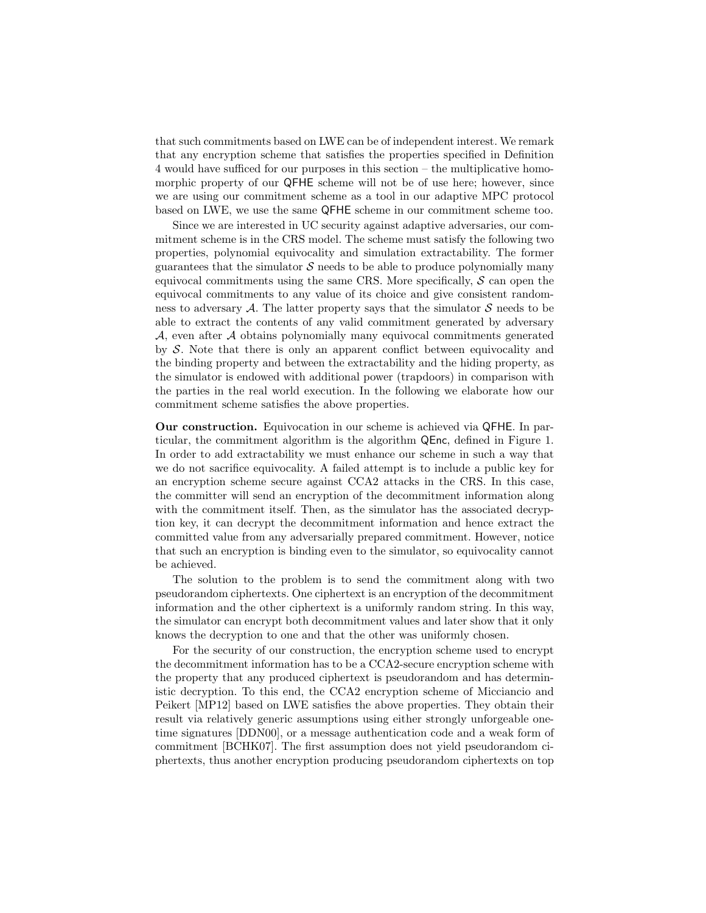that such commitments based on LWE can be of independent interest. We remark that any encryption scheme that satisfies the properties specified in Definition 4 would have sufficed for our purposes in this section – the multiplicative homomorphic property of our QFHE scheme will not be of use here; however, since we are using our commitment scheme as a tool in our adaptive MPC protocol based on LWE, we use the same QFHE scheme in our commitment scheme too.

Since we are interested in UC security against adaptive adversaries, our commitment scheme is in the CRS model. The scheme must satisfy the following two properties, polynomial equivocality and simulation extractability. The former guarantees that the simulator  $S$  needs to be able to produce polynomially many equivocal commitments using the same CRS. More specifically,  $\mathcal S$  can open the equivocal commitments to any value of its choice and give consistent randomness to adversary A. The latter property says that the simulator  $S$  needs to be able to extract the contents of any valid commitment generated by adversary A, even after A obtains polynomially many equivocal commitments generated by S. Note that there is only an apparent conflict between equivocality and the binding property and between the extractability and the hiding property, as the simulator is endowed with additional power (trapdoors) in comparison with the parties in the real world execution. In the following we elaborate how our commitment scheme satisfies the above properties.

Our construction. Equivocation in our scheme is achieved via QFHE. In particular, the commitment algorithm is the algorithm QEnc, defined in Figure 1. In order to add extractability we must enhance our scheme in such a way that we do not sacrifice equivocality. A failed attempt is to include a public key for an encryption scheme secure against CCA2 attacks in the CRS. In this case, the committer will send an encryption of the decommitment information along with the commitment itself. Then, as the simulator has the associated decryption key, it can decrypt the decommitment information and hence extract the committed value from any adversarially prepared commitment. However, notice that such an encryption is binding even to the simulator, so equivocality cannot be achieved.

The solution to the problem is to send the commitment along with two pseudorandom ciphertexts. One ciphertext is an encryption of the decommitment information and the other ciphertext is a uniformly random string. In this way, the simulator can encrypt both decommitment values and later show that it only knows the decryption to one and that the other was uniformly chosen.

For the security of our construction, the encryption scheme used to encrypt the decommitment information has to be a CCA2-secure encryption scheme with the property that any produced ciphertext is pseudorandom and has deterministic decryption. To this end, the CCA2 encryption scheme of Micciancio and Peikert [MP12] based on LWE satisfies the above properties. They obtain their result via relatively generic assumptions using either strongly unforgeable onetime signatures [DDN00], or a message authentication code and a weak form of commitment [BCHK07]. The first assumption does not yield pseudorandom ciphertexts, thus another encryption producing pseudorandom ciphertexts on top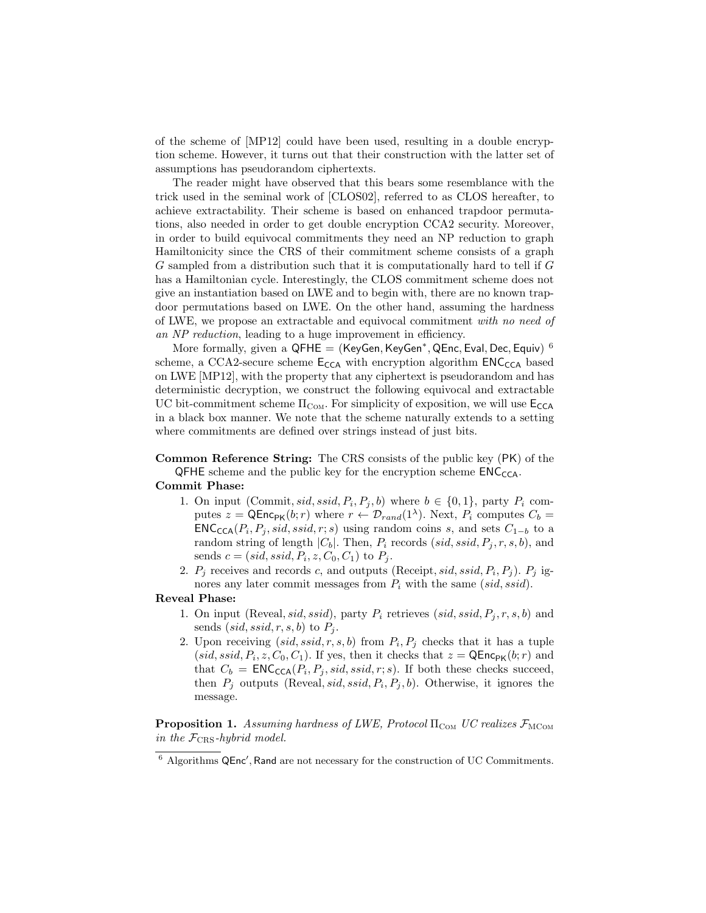of the scheme of [MP12] could have been used, resulting in a double encryption scheme. However, it turns out that their construction with the latter set of assumptions has pseudorandom ciphertexts.

The reader might have observed that this bears some resemblance with the trick used in the seminal work of [CLOS02], referred to as CLOS hereafter, to achieve extractability. Their scheme is based on enhanced trapdoor permutations, also needed in order to get double encryption CCA2 security. Moreover, in order to build equivocal commitments they need an NP reduction to graph Hamiltonicity since the CRS of their commitment scheme consists of a graph  $G$  sampled from a distribution such that it is computationally hard to tell if  $G$ has a Hamiltonian cycle. Interestingly, the CLOS commitment scheme does not give an instantiation based on LWE and to begin with, there are no known trapdoor permutations based on LWE. On the other hand, assuming the hardness of LWE, we propose an extractable and equivocal commitment with no need of an NP reduction, leading to a huge improvement in efficiency.

More formally, given a  $\mathsf{QFHE} = (\mathsf{KeyGen}, \mathsf{KeyGen}^*, \mathsf{QEnc}, \mathsf{Eval}, \mathsf{Dec}, \mathsf{Equiv})$   $^6$ scheme, a CCA2-secure scheme  $E_{CCA}$  with encryption algorithm  $ENC_{CCA}$  based on LWE [MP12], with the property that any ciphertext is pseudorandom and has deterministic decryption, we construct the following equivocal and extractable UC bit-commitment scheme  $\Pi_{\text{Com}}$ . For simplicity of exposition, we will use  $\mathsf{E}_{\text{CCA}}$ in a black box manner. We note that the scheme naturally extends to a setting where commitments are defined over strings instead of just bits.

# Common Reference String: The CRS consists of the public key (PK) of the

 $Q$ FHE scheme and the public key for the encryption scheme  $ENC_{CCA}$ .

# Commit Phase:

- 1. On input (Commit, sid, ssid,  $P_i$ ,  $P_j$ , b) where  $b \in \{0, 1\}$ , party  $P_i$  computes  $z = \mathsf{QEnc}_{\mathsf{PK}}(b; r)$  where  $r \leftarrow \mathcal{D}_{rand}(1^{\lambda})$ . Next,  $P_i$  computes  $C_b =$  $\mathsf{ENC}_{\mathsf{CCA}}(P_i, P_j, sid, ssid, r; s)$  using random coins s, and sets  $C_{1-b}$  to a random string of length  $|C_b|$ . Then,  $P_i$  records  $(sid, ssid, P_j, r, s, b)$ , and sends  $c = (sid, ssid, P_i, z, C_0, C_1)$  to  $P_j$ .
- 2.  $P_j$  receives and records c, and outputs (Receipt, sid, ssid,  $P_i$ ,  $P_j$ ).  $P_j$  ignores any later commit messages from  $P_i$  with the same (sid, ssid).

### Reveal Phase:

- 1. On input (Reveal, sid, ssid), party  $P_i$  retrieves (sid, ssid,  $P_i$ , r, s, b) and sends  $(sid, ssid, r, s, b)$  to  $P_j$ .
- 2. Upon receiving  $(sid, ssid, r, s, b)$  from  $P_i, P_j$  checks that it has a tuple  $(side, ssid, P_i, z, C_0, C_1)$ . If yes, then it checks that  $z = \mathsf{QEnc}_{\mathsf{PK}}(b; r)$  and that  $C_b = \text{ENC}_{\text{CCA}}(P_i, P_j, sid, ssid, r; s)$ . If both these checks succeed, then  $P_j$  outputs (Reveal, sid, ssid,  $P_i$ ,  $P_j$ , b). Otherwise, it ignores the message.

**Proposition 1.** Assuming hardness of LWE, Protocol  $\Pi_{COM}$  UC realizes  $\mathcal{F}_{MCOM}$ in the  $\mathcal{F}_{CRS}$ -hybrid model.

 $6$  Algorithms QEnc', Rand are not necessary for the construction of UC Commitments.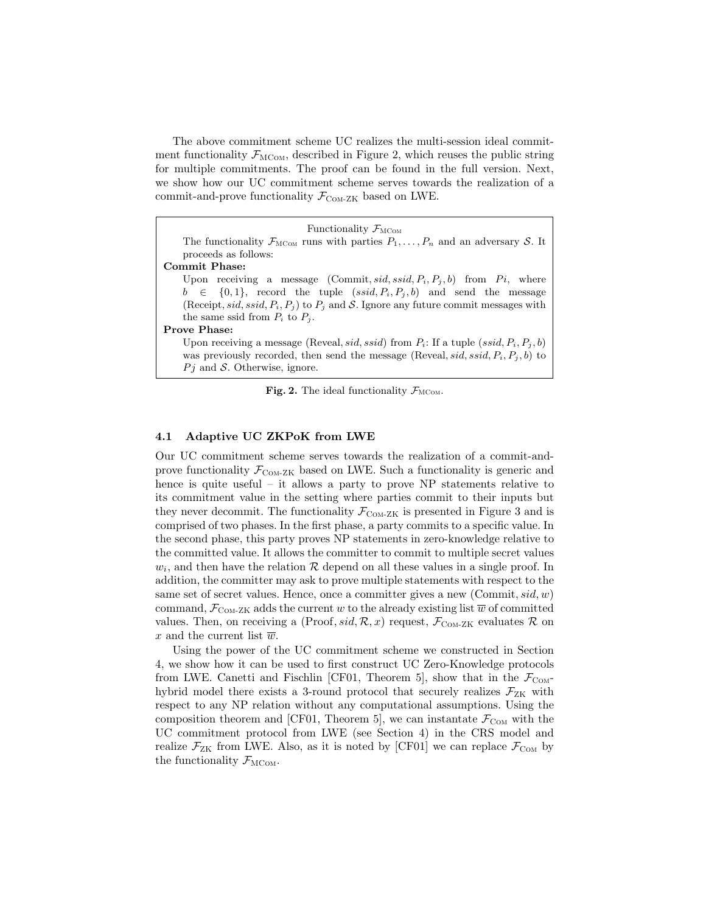The above commitment scheme UC realizes the multi-session ideal commitment functionality  $\mathcal{F}_{\text{MCom}}$ , described in Figure 2, which reuses the public string for multiple commitments. The proof can be found in the full version. Next, we show how our UC commitment scheme serves towards the realization of a commit-and-prove functionality  $\mathcal{F}_{COM-ZK}$  based on LWE.

| Functionality $\mathcal{F}_{\text{MCom}}$                                                                 |
|-----------------------------------------------------------------------------------------------------------|
| The functionality $\mathcal{F}_{\text{MCom}}$ runs with parties $P_1, \ldots, P_n$ and an adversary S. It |
| proceeds as follows:                                                                                      |
| Commit Phase:                                                                                             |
| Upon receiving a message (Commit, sid, ssid, $P_i$ , $P_j$ , b) from $Pi$ , where                         |
| $b \in \{0,1\}$ , record the tuple $(ssid, P_i, P_j, b)$ and send the message                             |
| (Receipt, sid, ssid, $P_i$ , $P_j$ ) to $P_j$ and S. Ignore any future commit messages with               |
| the same ssid from $P_i$ to $P_j$ .                                                                       |
| <b>Prove Phase:</b>                                                                                       |
| Upon receiving a message (Reveal, sid, ssid) from $P_i$ : If a tuple (ssid, $P_i$ , $P_j$ , b)            |
| was previously recorded, then send the message (Reveal, sid, sid, $P_i$ , $P_j$ , b) to                   |
| $P_i$ and S. Otherwise, ignore.                                                                           |

Fig. 2. The ideal functionality  $\mathcal{F}_{\text{MCom}}$ .

# 4.1 Adaptive UC ZKPoK from LWE

Our UC commitment scheme serves towards the realization of a commit-andprove functionality  $\mathcal{F}_{COM-ZK}$  based on LWE. Such a functionality is generic and hence is quite useful – it allows a party to prove  $NP$  statements relative to its commitment value in the setting where parties commit to their inputs but they never decommit. The functionality  $\mathcal{F}_{COM-ZK}$  is presented in Figure 3 and is comprised of two phases. In the first phase, a party commits to a specific value. In the second phase, this party proves NP statements in zero-knowledge relative to the committed value. It allows the committer to commit to multiple secret values  $w_i$ , and then have the relation  $\mathcal R$  depend on all these values in a single proof. In addition, the committer may ask to prove multiple statements with respect to the same set of secret values. Hence, once a committer gives a new  $(Commit, sid, w)$ command,  $\mathcal{F}_{COM-ZK}$  adds the current w to the already existing list  $\overline{w}$  of committed values. Then, on receiving a (Proof, sid,  $\mathcal{R}, x$ ) request,  $\mathcal{F}_{COM-ZK}$  evaluates  $\mathcal{R}$  on x and the current list  $\overline{w}$ .

Using the power of the UC commitment scheme we constructed in Section 4, we show how it can be used to first construct UC Zero-Knowledge protocols from LWE. Canetti and Fischlin [CF01, Theorem 5], show that in the  $\mathcal{F}_{COM}$ hybrid model there exists a 3-round protocol that securely realizes  $\mathcal{F}_{\text{ZK}}$  with respect to any NP relation without any computational assumptions. Using the composition theorem and [CF01, Theorem 5], we can instantate  $\mathcal{F}_{COM}$  with the UC commitment protocol from LWE (see Section 4) in the CRS model and realize  $\mathcal{F}_{\text{ZK}}$  from LWE. Also, as it is noted by [CF01] we can replace  $\mathcal{F}_{\text{COM}}$  by the functionality  $\mathcal{F}_{\text{MCOM}}$ .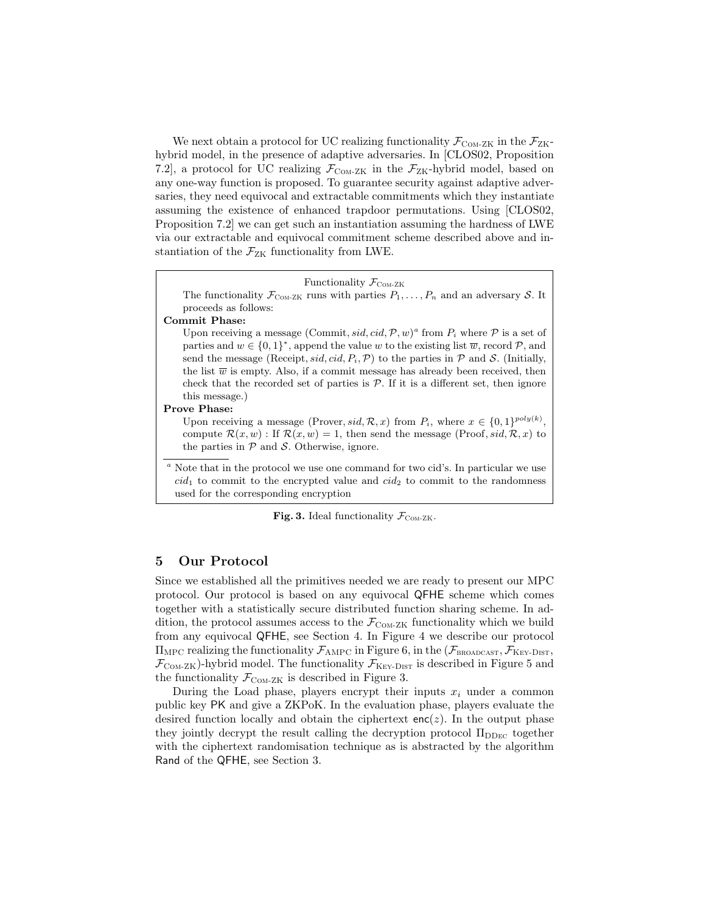We next obtain a protocol for UC realizing functionality  $\mathcal{F}_{COM-ZK}$  in the  $\mathcal{F}_{ZK}$ hybrid model, in the presence of adaptive adversaries. In [CLOS02, Proposition 7.2, a protocol for UC realizing  $\mathcal{F}_{COM-ZK}$  in the  $\mathcal{F}_{ZK}$ -hybrid model, based on any one-way function is proposed. To guarantee security against adaptive adversaries, they need equivocal and extractable commitments which they instantiate assuming the existence of enhanced trapdoor permutations. Using [CLOS02, Proposition 7.2] we can get such an instantiation assuming the hardness of LWE via our extractable and equivocal commitment scheme described above and instantiation of the  $\mathcal{F}_{\text{ZK}}$  functionality from LWE.

Functionality  $\mathcal{F}_{COM-ZK}$ 

The functionality  $\mathcal{F}_{COM-ZK}$  runs with parties  $P_1, \ldots, P_n$  and an adversary S. It proceeds as follows:

#### Commit Phase:

Upon receiving a message (Commit, sid, cid,  $P, w$ )<sup>a</sup> from  $P_i$  where  $P$  is a set of parties and  $w \in \{0,1\}^*$ , append the value w to the existing list  $\overline{w}$ , record  $\overline{P}$ , and send the message (Receipt, sid, cid,  $P_i$ ,  $\mathcal{P}$ ) to the parties in  $\mathcal{P}$  and  $\mathcal{S}$ . (Initially, the list  $\overline{w}$  is empty. Also, if a commit message has already been received, then check that the recorded set of parties is  $P$ . If it is a different set, then ignore this message.)

#### Prove Phase:

Upon receiving a message (Prover, sid,  $\mathcal{R}, x$ ) from  $P_i$ , where  $x \in \{0, 1\}^{poly(k)}$ , compute  $\mathcal{R}(x, w)$ : If  $\mathcal{R}(x, w) = 1$ , then send the message (Proof, sid, R, x) to the parties in  $P$  and  $S$ . Otherwise, ignore.

 $a$  Note that in the protocol we use one command for two cid's. In particular we use  $cid_1$  to commit to the encrypted value and  $cid_2$  to commit to the randomness used for the corresponding encryption

Fig. 3. Ideal functionality  $\mathcal{F}_{COM-ZK}$ .

## 5 Our Protocol

Since we established all the primitives needed we are ready to present our MPC protocol. Our protocol is based on any equivocal QFHE scheme which comes together with a statistically secure distributed function sharing scheme. In addition, the protocol assumes access to the  $\mathcal{F}_{COM-ZK}$  functionality which we build from any equivocal QFHE, see Section 4. In Figure 4 we describe our protocol  $\Pi_{\text{MPC}}$  realizing the functionality  $\mathcal{F}_{\text{AMPC}}$  in Figure 6, in the  $(\mathcal{F}_{\text{BROADCAST}}, \mathcal{F}_{\text{KEY-DIST}})$  $\mathcal{F}_{COM-ZK}$ )-hybrid model. The functionality  $\mathcal{F}_{KEY-DIST}$  is described in Figure 5 and the functionality  $\mathcal{F}_{COM-ZK}$  is described in Figure 3.

During the Load phase, players encrypt their inputs  $x_i$  under a common public key PK and give a ZKPoK. In the evaluation phase, players evaluate the desired function locally and obtain the ciphertext  $enc(z)$ . In the output phase they jointly decrypt the result calling the decryption protocol  $\Pi_{\text{DDec}}$  together with the ciphertext randomisation technique as is abstracted by the algorithm Rand of the QFHE, see Section 3.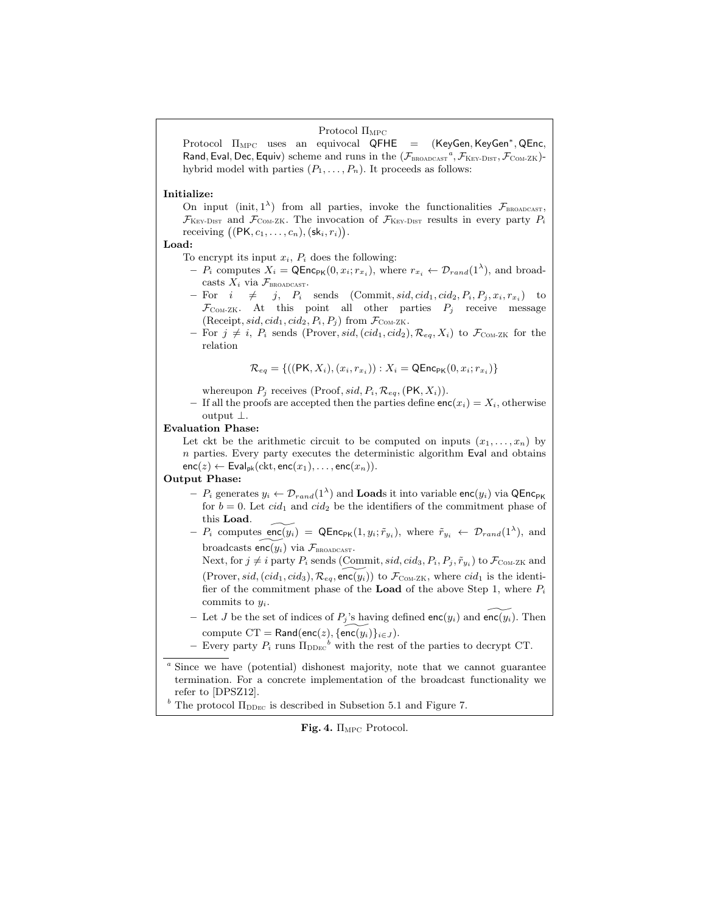### Protocol ΠMPC

Protocol  $\Pi_{\text{MPC}}$  uses an equivocal QFHE = (KeyGen, KeyGen<sup>\*</sup>, QEnc, Rand, Eval, Dec, Equiv) scheme and runs in the  $(\mathcal{F}_{\text{BROADCAST}}^a, \mathcal{F}_{\text{KEY-DIST}}, \mathcal{F}_{\text{COM-ZK}})$ hybrid model with parties  $(P_1, \ldots, P_n)$ . It proceeds as follows:

#### Initialize:

On input (init,  $1^{\lambda}$ ) from all parties, invoke the functionalities  $\mathcal{F}_{\text{BROADCAST}}$  $\mathcal{F}_{\text{Kev-DIST}}$  and  $\mathcal{F}_{\text{COM-ZK}}$ . The invocation of  $\mathcal{F}_{\text{Kev-DIST}}$  results in every party  $P_i$ receiving  $((PK, c_1, \ldots, c_n), (\mathsf{sk}_i, r_i)).$ 

#### Load:

- To encrypt its input  $x_i$ ,  $P_i$  does the following:
- $P_i$  computes  $X_i = \mathsf{QEnc}_{\mathsf{PK}}(0, x_i; r_{x_i})$ , where  $r_{x_i} \leftarrow \mathcal{D}_{rand}(1^{\lambda})$ , and broadcasts  $X_i$  via  $\mathcal{F}_{\text{BROADCAST}}$ .
- $-$  For  $i \neq j$ ,  $P_i$  sends (Commit,  $sid, cid_1, cid_2, P_i, P_j, x_i, r_{x_i})$  to  $\mathcal{F}_{COM-ZK}$ . At this point all other parties  $P_i$  receive message (Receipt,  $sid, cid_1, cid_2, P_i, P_j)$  from  $\mathcal{F}_{COM-ZK}$ .
- For  $j \neq i$ ,  $P_i$  sends (Prover, sid, (cid<sub>1</sub>, cid<sub>2</sub>),  $\mathcal{R}_{eq}$ ,  $X_i$ ) to  $\mathcal{F}_{COM-ZK}$  for the relation

$$
\mathcal{R}_{eq} = \{ ((\mathsf{PK}, X_i), (x_i, r_{x_i})) : X_i = \mathsf{QEnc}_{\mathsf{PK}}(0, x_i; r_{x_i}) \}
$$

whereupon  $P_j$  receives (Proof, sid,  $P_i$ ,  $\mathcal{R}_{eq}$ , (PK,  $X_i$ )).

– If all the proofs are accepted then the parties define  $enc(x_i) = X_i$ , otherwise output ⊥.

#### Evaluation Phase:

Let ckt be the arithmetic circuit to be computed on inputs  $(x_1, \ldots, x_n)$  by  $n$  parties. Every party executes the deterministic algorithm Eval and obtains  $\mathsf{enc}(z) \leftarrow \mathsf{Eval}_{\mathsf{pk}}(\text{ckt},\mathsf{enc}(x_1),\ldots,\mathsf{enc}(x_n)).$ 

### Output Phase:

- $-P_i$  generates  $y_i \leftarrow \mathcal{D}_{rand}(1^{\lambda})$  and **Load**s it into variable enc $(y_i)$  via QEnc<sub>PK</sub> for  $b = 0$ . Let  $cid_1$  and  $cid_2$  be the identifiers of the commitment phase of this Load.
- $P_i$  computes  $\widetilde{\text{enc}(y_i)} = \text{QEnc}_{PK}(1, y_i; \tilde{r}_{y_i})$ , where  $\tilde{r}_{y_i} \leftarrow \mathcal{D}_{rand}(1^{\lambda})$ , and broadcasts enc $(y_i)$  via  $\mathcal{F}_{\text{BROADCAST}}$ .

Next, for  $j \neq i$  party  $P_i$  sends (Commit, sid, cid<sub>3</sub>,  $P_i$ ,  $P_j$ ,  $\tilde{r}_{y_i}$ ) to  $\mathcal{F}_{COM-ZK}$  and (Prover, sid,  $(cid_1, cid_3), \mathcal{R}_{eq}$ , enc $(y_i)$ ) to  $\mathcal{F}_{COM-ZK}$ , where  $cid_1$  is the identifier of the commitment phase of the **Load** of the above Step 1, where  $P_i$ commits to  $y_i$ .

- Let J be the set of indices of  $P_j$ 's having defined enc $(y_i)$  and enc $(y_i)$ . Then compute CT = Rand(enc(z), {enc(y<sub>i</sub>)}<sub>i∈J</sub>).
- Every party  $P_i$  runs  $\Pi_{\text{DDEC}}^b$  with the rest of the parties to decrypt CT.

<sup>a</sup> Since we have (potential) dishonest majority, note that we cannot guarantee termination. For a concrete implementation of the broadcast functionality we refer to [DPSZ12].

 $^b$  The protocol  $\Pi_\mathrm{DDEC}$  is described in Subsetion 5.1 and Figure 7.

### Fig. 4. Π<sub>MPC</sub> Protocol.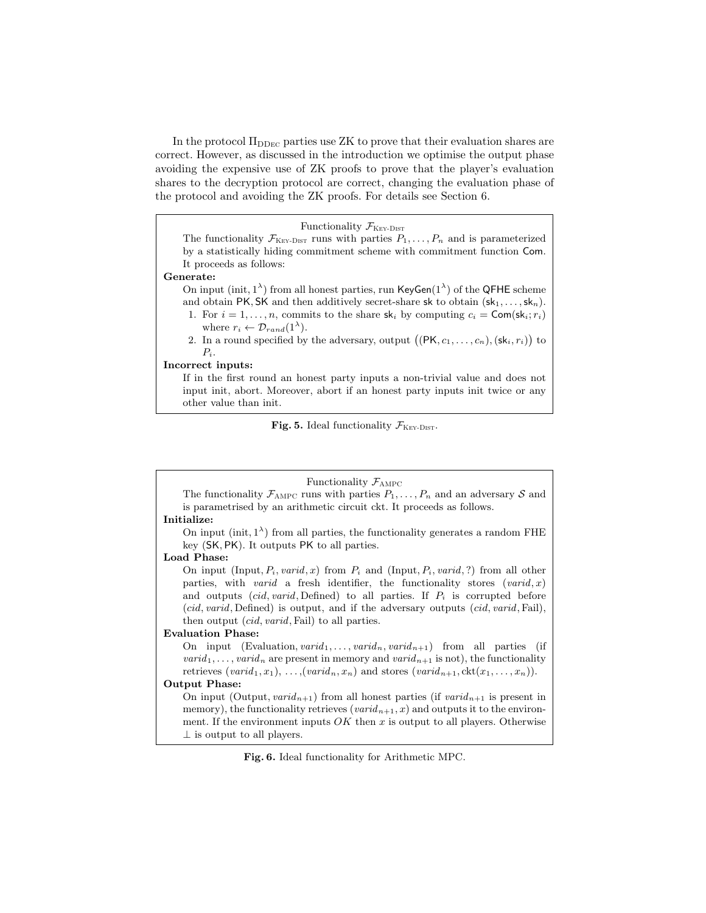In the protocol  $\Pi_{\rm DDEC}$  parties use ZK to prove that their evaluation shares are correct. However, as discussed in the introduction we optimise the output phase avoiding the expensive use of ZK proofs to prove that the player's evaluation shares to the decryption protocol are correct, changing the evaluation phase of the protocol and avoiding the ZK proofs. For details see Section 6.

### Functionality  $\mathcal{F}_{\textrm{KEV-DIST}}$

The functionality  $\mathcal{F}_{\text{Kev-DIST}}$  runs with parties  $P_1, \ldots, P_n$  and is parameterized by a statistically hiding commitment scheme with commitment function Com. It proceeds as follows:

#### Generate:

On input (init,  $1^{\lambda}$ ) from all honest parties, run KeyGen( $1^{\lambda}$ ) of the QFHE scheme and obtain PK, SK and then additively secret-share sk to obtain  $(\mathsf{sk}_1, \ldots, \mathsf{sk}_n)$ .

1. For  $i = 1, \ldots, n$ , commits to the share sk<sub>i</sub> by computing  $c_i = \textsf{Com}(\textsf{sk}_i; r_i)$ where  $r_i \leftarrow \mathcal{D}_{rand}(1^{\lambda})$ .

2. In a round specified by the adversary, output  $((PK, c_1, \ldots, c_n), (\mathsf{sk}_i, r_i))$  to  $P_i$ .

#### Incorrect inputs:

If in the first round an honest party inputs a non-trivial value and does not input init, abort. Moreover, abort if an honest party inputs init twice or any other value than init.

Fig. 5. Ideal functionality  $\mathcal{F}_{\text{Kev-DIST}}$ .

### Functionality  $\mathcal{F}_{\mathrm{AMPC}}$

The functionality  $\mathcal{F}_{\text{AMPC}}$  runs with parties  $P_1, \ldots, P_n$  and an adversary S and is parametrised by an arithmetic circuit ckt. It proceeds as follows.

#### Initialize:

On input (init,  $1^{\lambda}$ ) from all parties, the functionality generates a random FHE key (SK, PK). It outputs PK to all parties.

### Load Phase:

On input (Input,  $P_i$ , varid, x) from  $P_i$  and (Input,  $P_i$ , varid, ?) from all other parties, with varid a fresh identifier, the functionality stores  $(varid, x)$ and outputs  $(cid, vari d, Defined)$  to all parties. If  $P_i$  is corrupted before (cid, varid, Defined) is output, and if the adversary outputs (cid, varid, Fail), then output (cid, varid, Fail) to all parties.

### Evaluation Phase:

On input (Evaluation,  $\text{varid}_1, \ldots, \text{varid}_n, \text{varid}_{n+1}$ ) from all parties (if  $\textit{vari}_1, \ldots, \textit{vari}_n$  are present in memory and  $\textit{vari}_n+1$  is not), the functionality retrieves  $(varid_1, x_1), \ldots, (vari d_n, x_n)$  and stores  $(varid_{n+1}, \text{ckt}(x_1, \ldots, x_n)).$ 

#### Output Phase:

On input (Output,  $variable_{n+1}$ ) from all honest parties (if  $variable_{n+1}$  is present in memory), the functionality retrieves  $(varid_{n+1}, x)$  and outputs it to the environment. If the environment inputs  $\overline{OK}$  then x is output to all players. Otherwise  $\perp$  is output to all players.

Fig. 6. Ideal functionality for Arithmetic MPC.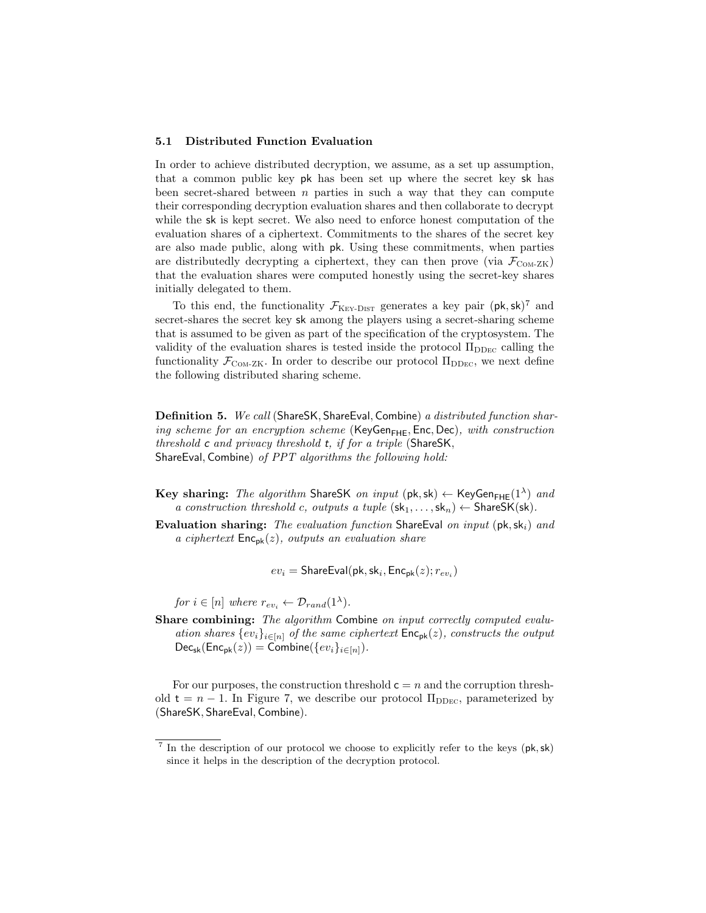#### 5.1 Distributed Function Evaluation

In order to achieve distributed decryption, we assume, as a set up assumption, that a common public key pk has been set up where the secret key sk has been secret-shared between  $n$  parties in such a way that they can compute their corresponding decryption evaluation shares and then collaborate to decrypt while the sk is kept secret. We also need to enforce honest computation of the evaluation shares of a ciphertext. Commitments to the shares of the secret key are also made public, along with pk. Using these commitments, when parties are distributedly decrypting a ciphertext, they can then prove (via  $\mathcal{F}_{COM-ZK}$ ) that the evaluation shares were computed honestly using the secret-key shares initially delegated to them.

To this end, the functionality  $\mathcal{F}_{\text{KEY-DIST}}$  generates a key pair  $(\mathsf{pk}, \mathsf{sk})^7$  and secret-shares the secret key sk among the players using a secret-sharing scheme that is assumed to be given as part of the specification of the cryptosystem. The validity of the evaluation shares is tested inside the protocol  $\Pi_{\text{DDec}}$  calling the functionality  $\mathcal{F}_{COM-ZK}$ . In order to describe our protocol  $\Pi_{DDEC}$ , we next define the following distributed sharing scheme.

Definition 5. We call (ShareSK, ShareEval, Combine) a distributed function sharing scheme for an encryption scheme (KeyGen<sub>FHE</sub>, Enc, Dec), with construction threshold c and privacy threshold t, if for a triple (ShareSK, ShareEval, Combine) of PPT algorithms the following hold:

- $\bf{Key \ sharing:}$   $\it The \ algorithm \ ShareSK \ on \ input \ (pk, sk) \leftarrow \sf KeyGen_{FHE}(1^{\lambda}) \ and$ a construction threshold c, outputs a tuple  $(\mathsf{sk}_1, \ldots, \mathsf{sk}_n) \leftarrow \mathsf{ShareSK}(\mathsf{sk}).$
- Evaluation sharing: The evaluation function ShareEval on input  $(\mathsf{pk}, \mathsf{sk}_i)$  and a ciphertext  $Enc_{pk}(z)$ , outputs an evaluation share

 $ev_i = {\sf SharedEval}({\sf pk}, {\sf sk}_i, {\sf Enc}_{{\sf pk}}(z); r_{ev_i})$ 

for  $i \in [n]$  where  $r_{ev_i} \leftarrow \mathcal{D}_{rand}(1^{\lambda})$ .

Share combining: The algorithm Combine on input correctly computed evaluation shares  $\{ev_i\}_{i\in[n]}$  of the same ciphertext  $\mathsf{Enc}_{\mathsf{pk}}(z)$ , constructs the output  $Dec_{sk}(Enc_{pk}(z)) = Combine({\lbrace ev_i \rbrace}_{i \in [n]})$ .

For our purposes, the construction threshold  $c = n$  and the corruption threshold  $t = n - 1$ . In Figure 7, we describe our protocol  $\Pi_{\text{DDec}}$ , parameterized by (ShareSK, ShareEval, Combine).

<sup>&</sup>lt;sup>7</sup> In the description of our protocol we choose to explicitly refer to the keys ( $pk, sk$ ) since it helps in the description of the decryption protocol.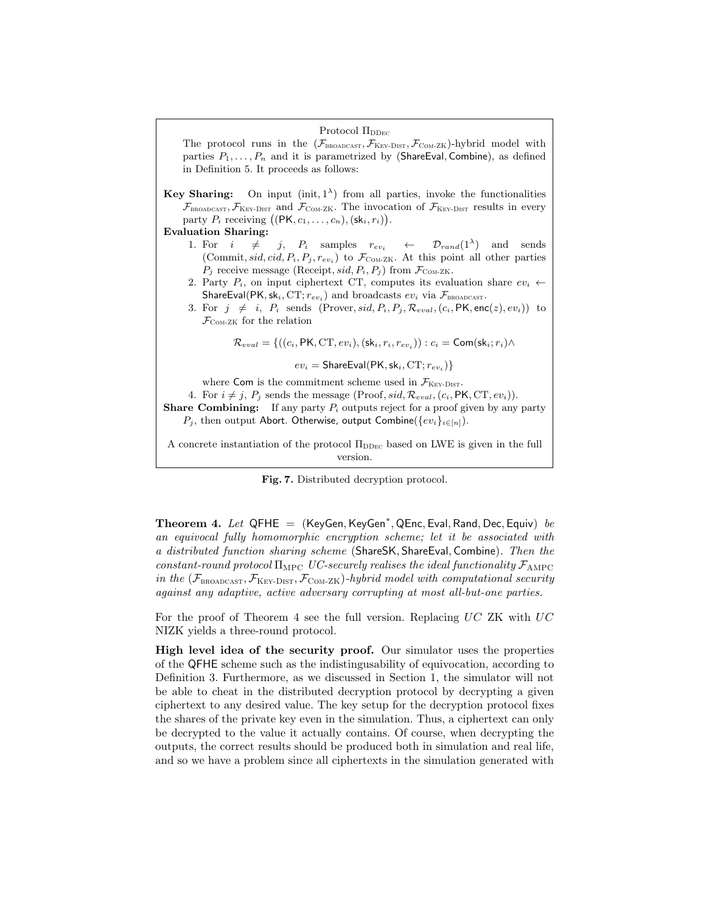#### Protocol Π<sub>DDEC</sub>

The protocol runs in the  $(\mathcal{F}_{\text{BROADCAST}}, \mathcal{F}_{\text{KEY-DIST}}, \mathcal{F}_{\text{COM-ZK}})$ -hybrid model with parties  $P_1, \ldots, P_n$  and it is parametrized by (ShareEval, Combine), as defined in Definition 5. It proceeds as follows:

**Key Sharing:** On input (init,  $1^{\lambda}$ ) from all parties, invoke the functionalities  $\mathcal{F}_{\text{RROADCAST}}$ ,  $\mathcal{F}_{\text{KEY-DIST}}$  and  $\mathcal{F}_{\text{COM-ZK}}$ . The invocation of  $\mathcal{F}_{\text{KEY-DIST}}$  results in every party  $P_i$  receiving  $((PK, c_1, \ldots, c_n), (\mathsf{sk}_i, r_i)).$ 

#### Evaluation Sharing:

- 1. For  $i \neq j$ ,  $P_i$  samples  $r_{ev_i} \leftarrow$  $\mathcal{D}_{rand}(1^{\lambda})$  and sends (Commit, sid, cid,  $P_i, P_j, r_{ev_i}$ ) to  $\mathcal{F}_{COM-ZK}$ . At this point all other parties  $P_i$  receive message (Receipt, sid,  $P_i$ ,  $P_j$ ) from  $\mathcal{F}_{COM-ZK}$ .
- 2. Party  $P_i$ , on input ciphertext CT, computes its evaluation share  $ev_i \leftarrow$ <code>ShareEval(PK</code>,  $\mathsf{sk}_i, \mathrm{CT}; r_{ev_i})$  and broadcasts  $\mathit{ev}_i$  via  $\mathcal{F}_{\texttt{BROADCAST}}.$
- 3. For  $j \neq i$ ,  $P_i$  sends (Prover, sid,  $P_i$ ,  $P_j$ ,  $\mathcal{R}_{eval}$ ,  $(c_i, \text{PK}, \text{enc}(z), ev_i)$ ) to  $\mathcal{F}_{COM-ZK}$  for the relation

 $\mathcal{R}_{eval} = \{((c_i, \textsf{PK}, \text{CT}, ev_i), (\textsf{sk}_i, r_i, r_{ev_i})) : c_i = \mathsf{Com}(\textsf{sk}_i; r_i) \land$ 

 $ev_i = {\sf SharedEval}({\sf PK}, {\sf sk}_i, {\rm CT}; r_{ev_i})\}$ 

- where Com is the commitment scheme used in  $\mathcal{F}_{\text{KEY-DIST}}$ .
- 4. For  $i \neq j$ ,  $P_i$  sends the message (Proof, sid,  $\mathcal{R}_{eval}$ ,  $(c_i, \text{PK}, \text{CT}, ev_i)$ ).

**Share Combining:** If any party  $P_i$  outputs reject for a proof given by any party  $P_i$ , then output Abort. Otherwise, output Combine( $\{ev_i\}_{i\in[n]}$ ).

A concrete instantiation of the protocol  $\Pi_{\text{DDec}}$  based on LWE is given in the full version.

Fig. 7. Distributed decryption protocol.

Theorem 4. Let QFHE =  $(KeyGen, KeyGen^*, QEnc,Eval, Rand, Dec, Equiv)$  be an equivocal fully homomorphic encryption scheme; let it be associated with a distributed function sharing scheme (ShareSK, ShareEval, Combine). Then the constant-round protocol  $\Pi_{\text{MPC}}$  UC-securely realises the ideal functionality  $\mathcal{F}_{\text{AMPC}}$ in the  $(\mathcal{F}_{\text{BROADCAST}}, \mathcal{F}_{\text{KEY-DIST}}, \mathcal{F}_{\text{COM-ZK}})$ -hybrid model with computational security against any adaptive, active adversary corrupting at most all-but-one parties.

For the proof of Theorem 4 see the full version. Replacing UC ZK with UC NIZK yields a three-round protocol.

High level idea of the security proof. Our simulator uses the properties of the QFHE scheme such as the indistingusability of equivocation, according to Definition 3. Furthermore, as we discussed in Section 1, the simulator will not be able to cheat in the distributed decryption protocol by decrypting a given ciphertext to any desired value. The key setup for the decryption protocol fixes the shares of the private key even in the simulation. Thus, a ciphertext can only be decrypted to the value it actually contains. Of course, when decrypting the outputs, the correct results should be produced both in simulation and real life, and so we have a problem since all ciphertexts in the simulation generated with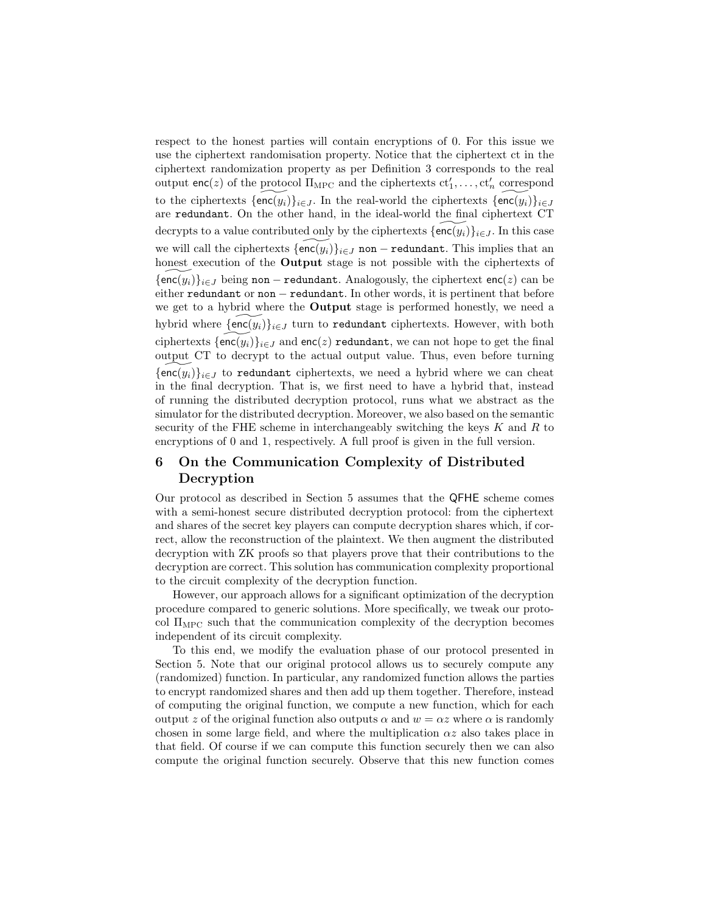respect to the honest parties will contain encryptions of 0. For this issue we use the ciphertext randomisation property. Notice that the ciphertext ct in the ciphertext randomization property as per Definition 3 corresponds to the real output  $\mathsf{enc}(z)$  of the protocol  $\Pi_{\mathrm{MPC}}$  and the ciphertexts  $\mathrm{ct}_1', \ldots, \mathrm{ct}_n'$  correspond to the ciphertexts {enc $(y_i)$ } $_{i\in J}$ . In the real-world the ciphertexts {enc $(y_i)$ } $_{i\in J}$ are redundant. On the other hand, in the ideal-world the final ciphertext CT decrypts to a value contributed only by the ciphertexts  $\{\mathsf{enc}(y_i)\}_{i\in J}$ . In this case we will call the ciphertexts  $\{\mathsf{enc}(y_i)\}_{i\in J}$  non – redundant. This implies that an honest execution of the Output stage is not possible with the ciphertexts of  ${enc(y_i)}_{i\in J}$  being non – redundant. Analogously, the ciphertext enc(z) can be either redundant or non – redundant. In other words, it is pertinent that before we get to a hybrid where the Output stage is performed honestly, we need a hybrid where  $\{\textsf{enc}(y_i)\}_{i\in J}$  turn to redundant ciphertexts. However, with both ciphertexts  $\{\mathsf{enc}(y_i)\}_{i\in J}$  and  $\mathsf{enc}(z)$  redundant, we can not hope to get the final output CT to decrypt to the actual output value. Thus, even before turning  $\{\mathsf{enc}(y_i)\}_{i\in J}$  to redundant ciphertexts, we need a hybrid where we can cheat in the final decryption. That is, we first need to have a hybrid that, instead of running the distributed decryption protocol, runs what we abstract as the simulator for the distributed decryption. Moreover, we also based on the semantic security of the FHE scheme in interchangeably switching the keys  $K$  and  $R$  to encryptions of 0 and 1, respectively. A full proof is given in the full version.

# 6 On the Communication Complexity of Distributed Decryption

Our protocol as described in Section 5 assumes that the QFHE scheme comes with a semi-honest secure distributed decryption protocol: from the ciphertext and shares of the secret key players can compute decryption shares which, if correct, allow the reconstruction of the plaintext. We then augment the distributed decryption with ZK proofs so that players prove that their contributions to the decryption are correct. This solution has communication complexity proportional to the circuit complexity of the decryption function.

However, our approach allows for a significant optimization of the decryption procedure compared to generic solutions. More specifically, we tweak our protocol  $\Pi_{\text{MPC}}$  such that the communication complexity of the decryption becomes independent of its circuit complexity.

To this end, we modify the evaluation phase of our protocol presented in Section 5. Note that our original protocol allows us to securely compute any (randomized) function. In particular, any randomized function allows the parties to encrypt randomized shares and then add up them together. Therefore, instead of computing the original function, we compute a new function, which for each output z of the original function also outputs  $\alpha$  and  $w = \alpha z$  where  $\alpha$  is randomly chosen in some large field, and where the multiplication  $\alpha z$  also takes place in that field. Of course if we can compute this function securely then we can also compute the original function securely. Observe that this new function comes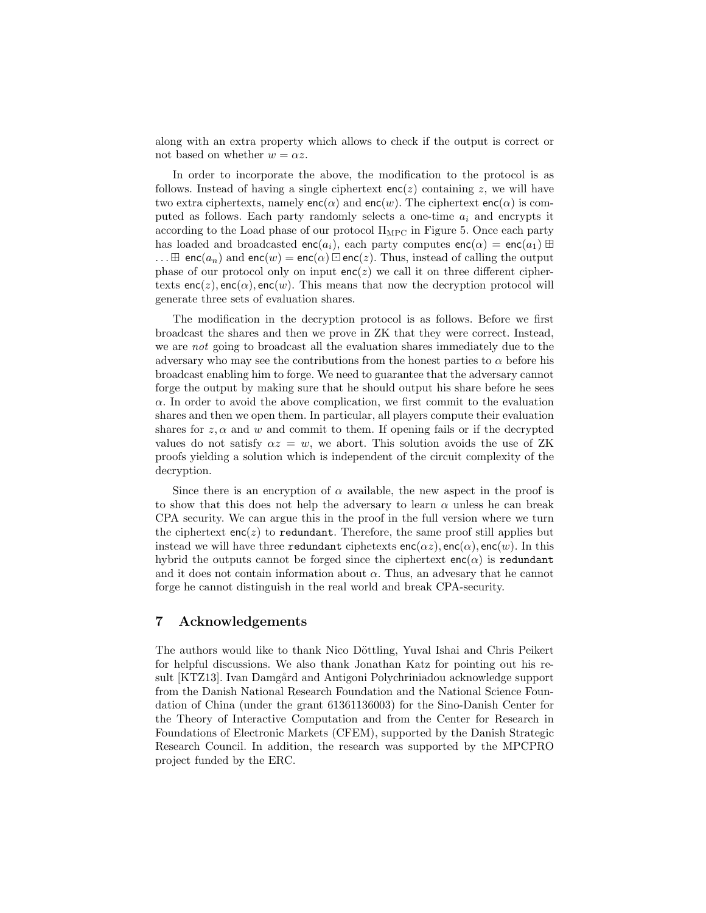along with an extra property which allows to check if the output is correct or not based on whether  $w = \alpha z$ .

In order to incorporate the above, the modification to the protocol is as follows. Instead of having a single ciphertext  $enc(z)$  containing z, we will have two extra ciphertexts, namely  $enc(\alpha)$  and  $enc(w)$ . The ciphertext  $enc(\alpha)$  is computed as follows. Each party randomly selects a one-time  $a_i$  and encrypts it according to the Load phase of our protocol  $\Pi_{\text{MPC}}$  in Figure 5. Once each party has loaded and broadcasted enc(a<sub>i</sub>), each party computes enc( $\alpha$ ) = enc(a<sub>1</sub>)  $\boxplus$  $\ldots \boxplus$  enc(a<sub>n</sub>) and enc(w) = enc(a)  $\Box$  enc(z). Thus, instead of calling the output phase of our protocol only on input  $enc(z)$  we call it on three different ciphertexts enc(z), enc( $\alpha$ ), enc(w). This means that now the decryption protocol will generate three sets of evaluation shares.

The modification in the decryption protocol is as follows. Before we first broadcast the shares and then we prove in ZK that they were correct. Instead, we are not going to broadcast all the evaluation shares immediately due to the adversary who may see the contributions from the honest parties to  $\alpha$  before his broadcast enabling him to forge. We need to guarantee that the adversary cannot forge the output by making sure that he should output his share before he sees  $\alpha$ . In order to avoid the above complication, we first commit to the evaluation shares and then we open them. In particular, all players compute their evaluation shares for  $z, \alpha$  and w and commit to them. If opening fails or if the decrypted values do not satisfy  $\alpha z = w$ , we abort. This solution avoids the use of ZK proofs yielding a solution which is independent of the circuit complexity of the decryption.

Since there is an encryption of  $\alpha$  available, the new aspect in the proof is to show that this does not help the adversary to learn  $\alpha$  unless he can break CPA security. We can argue this in the proof in the full version where we turn the ciphertext  $enc(z)$  to redundant. Therefore, the same proof still applies but instead we will have three redundant ciphetexts enc( $\alpha z$ ), enc( $\alpha$ ), enc(w). In this hybrid the outputs cannot be forged since the ciphertext  $enc(\alpha)$  is redundant and it does not contain information about  $\alpha$ . Thus, an advesary that he cannot forge he cannot distinguish in the real world and break CPA-security.

# 7 Acknowledgements

The authors would like to thank Nico Döttling, Yuval Ishai and Chris Peikert for helpful discussions. We also thank Jonathan Katz for pointing out his result [KTZ13]. Ivan Damgård and Antigoni Polychriniadou acknowledge support from the Danish National Research Foundation and the National Science Foundation of China (under the grant 61361136003) for the Sino-Danish Center for the Theory of Interactive Computation and from the Center for Research in Foundations of Electronic Markets (CFEM), supported by the Danish Strategic Research Council. In addition, the research was supported by the MPCPRO project funded by the ERC.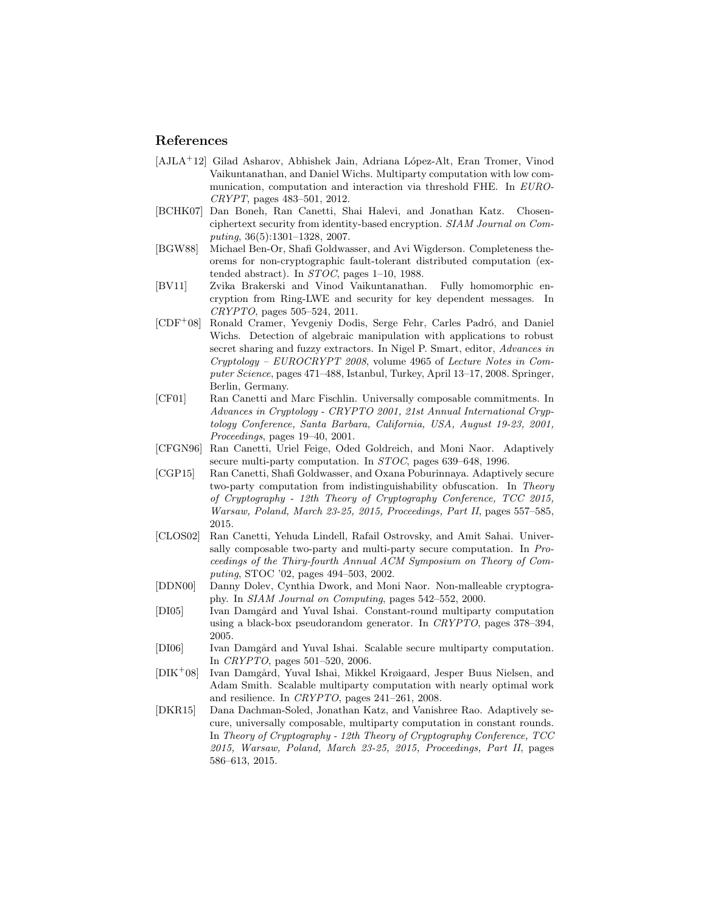# References

- [AJLA<sup>+</sup>12] Gilad Asharov, Abhishek Jain, Adriana L´opez-Alt, Eran Tromer, Vinod Vaikuntanathan, and Daniel Wichs. Multiparty computation with low communication, computation and interaction via threshold FHE. In EURO-CRYPT, pages 483–501, 2012.
- [BCHK07] Dan Boneh, Ran Canetti, Shai Halevi, and Jonathan Katz. Chosenciphertext security from identity-based encryption. SIAM Journal on Computing, 36(5):1301–1328, 2007.
- [BGW88] Michael Ben-Or, Shafi Goldwasser, and Avi Wigderson. Completeness theorems for non-cryptographic fault-tolerant distributed computation (extended abstract). In STOC, pages 1–10, 1988.
- [BV11] Zvika Brakerski and Vinod Vaikuntanathan. Fully homomorphic encryption from Ring-LWE and security for key dependent messages. In CRYPTO, pages 505–524, 2011.
- [CDF<sup>+</sup>08] Ronald Cramer, Yevgeniy Dodis, Serge Fehr, Carles Padró, and Daniel Wichs. Detection of algebraic manipulation with applications to robust secret sharing and fuzzy extractors. In Nigel P. Smart, editor, Advances in Cryptology – EUROCRYPT 2008, volume 4965 of Lecture Notes in Computer Science, pages 471–488, Istanbul, Turkey, April 13–17, 2008. Springer, Berlin, Germany.
- [CF01] Ran Canetti and Marc Fischlin. Universally composable commitments. In Advances in Cryptology - CRYPTO 2001, 21st Annual International Cryptology Conference, Santa Barbara, California, USA, August 19-23, 2001, Proceedings, pages 19–40, 2001.
- [CFGN96] Ran Canetti, Uriel Feige, Oded Goldreich, and Moni Naor. Adaptively secure multi-party computation. In STOC, pages 639–648, 1996.
- [CGP15] Ran Canetti, Shafi Goldwasser, and Oxana Poburinnaya. Adaptively secure two-party computation from indistinguishability obfuscation. In Theory of Cryptography - 12th Theory of Cryptography Conference, TCC 2015, Warsaw, Poland, March 23-25, 2015, Proceedings, Part II, pages 557–585, 2015.
- [CLOS02] Ran Canetti, Yehuda Lindell, Rafail Ostrovsky, and Amit Sahai. Universally composable two-party and multi-party secure computation. In Proceedings of the Thiry-fourth Annual ACM Symposium on Theory of Computing, STOC '02, pages 494–503, 2002.
- [DDN00] Danny Dolev, Cynthia Dwork, and Moni Naor. Non-malleable cryptography. In SIAM Journal on Computing, pages 542–552, 2000.
- [DI05] Ivan Damgård and Yuval Ishai. Constant-round multiparty computation using a black-box pseudorandom generator. In CRYPTO, pages 378–394, 2005.
- [DI06] Ivan Damgård and Yuval Ishai. Scalable secure multiparty computation. In CRYPTO, pages 501–520, 2006.
- [DIK<sup>+</sup>08] Ivan Damgård, Yuval Ishai, Mikkel Krøigaard, Jesper Buus Nielsen, and Adam Smith. Scalable multiparty computation with nearly optimal work and resilience. In CRYPTO, pages 241–261, 2008.
- [DKR15] Dana Dachman-Soled, Jonathan Katz, and Vanishree Rao. Adaptively secure, universally composable, multiparty computation in constant rounds. In Theory of Cryptography - 12th Theory of Cryptography Conference, TCC 2015, Warsaw, Poland, March 23-25, 2015, Proceedings, Part II, pages 586–613, 2015.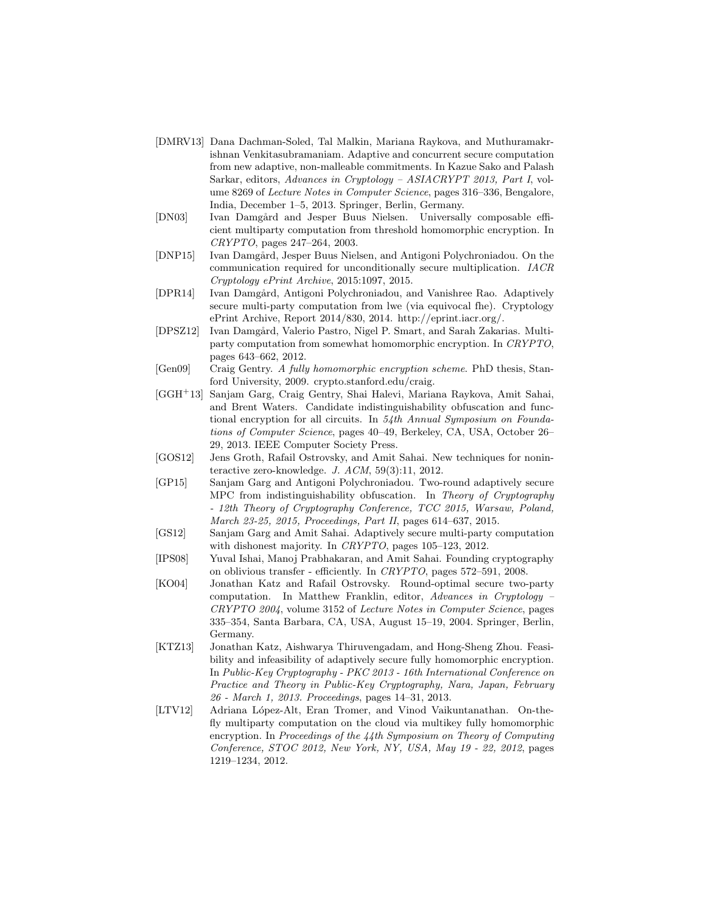- [DMRV13] Dana Dachman-Soled, Tal Malkin, Mariana Raykova, and Muthuramakrishnan Venkitasubramaniam. Adaptive and concurrent secure computation from new adaptive, non-malleable commitments. In Kazue Sako and Palash Sarkar, editors, Advances in Cryptology – ASIACRYPT 2013, Part I, volume 8269 of Lecture Notes in Computer Science, pages 316–336, Bengalore, India, December 1–5, 2013. Springer, Berlin, Germany.
- [DN03] Ivan Damgård and Jesper Buus Nielsen. Universally composable efficient multiparty computation from threshold homomorphic encryption. In CRYPTO, pages 247–264, 2003.
- [DNP15] Ivan Damg˚ard, Jesper Buus Nielsen, and Antigoni Polychroniadou. On the communication required for unconditionally secure multiplication. IACR Cryptology ePrint Archive, 2015:1097, 2015.
- [DPR14] Ivan Damgård, Antigoni Polychroniadou, and Vanishree Rao. Adaptively secure multi-party computation from lwe (via equivocal fhe). Cryptology ePrint Archive, Report 2014/830, 2014. http://eprint.iacr.org/.
- [DPSZ12] Ivan Damgård, Valerio Pastro, Nigel P. Smart, and Sarah Zakarias. Multiparty computation from somewhat homomorphic encryption. In CRYPTO, pages 643–662, 2012.
- [Gen09] Craig Gentry. A fully homomorphic encryption scheme. PhD thesis, Stanford University, 2009. crypto.stanford.edu/craig.
- [GGH<sup>+</sup>13] Sanjam Garg, Craig Gentry, Shai Halevi, Mariana Raykova, Amit Sahai, and Brent Waters. Candidate indistinguishability obfuscation and functional encryption for all circuits. In 54th Annual Symposium on Foundations of Computer Science, pages 40–49, Berkeley, CA, USA, October 26– 29, 2013. IEEE Computer Society Press.
- [GOS12] Jens Groth, Rafail Ostrovsky, and Amit Sahai. New techniques for noninteractive zero-knowledge. J. ACM, 59(3):11, 2012.
- [GP15] Sanjam Garg and Antigoni Polychroniadou. Two-round adaptively secure MPC from indistinguishability obfuscation. In Theory of Cryptography - 12th Theory of Cryptography Conference, TCC 2015, Warsaw, Poland, March 23-25, 2015, Proceedings, Part II, pages 614–637, 2015.
- [GS12] Sanjam Garg and Amit Sahai. Adaptively secure multi-party computation with dishonest majority. In CRYPTO, pages 105–123, 2012.
- [IPS08] Yuval Ishai, Manoj Prabhakaran, and Amit Sahai. Founding cryptography on oblivious transfer - efficiently. In CRYPTO, pages 572–591, 2008.
- [KO04] Jonathan Katz and Rafail Ostrovsky. Round-optimal secure two-party computation. In Matthew Franklin, editor, Advances in Cryptology – CRYPTO 2004, volume 3152 of Lecture Notes in Computer Science, pages 335–354, Santa Barbara, CA, USA, August 15–19, 2004. Springer, Berlin, Germany.
- [KTZ13] Jonathan Katz, Aishwarya Thiruvengadam, and Hong-Sheng Zhou. Feasibility and infeasibility of adaptively secure fully homomorphic encryption. In Public-Key Cryptography - PKC 2013 - 16th International Conference on Practice and Theory in Public-Key Cryptography, Nara, Japan, February 26 - March 1, 2013. Proceedings, pages 14–31, 2013.
- [LTV12] Adriana López-Alt, Eran Tromer, and Vinod Vaikuntanathan. On-thefly multiparty computation on the cloud via multikey fully homomorphic encryption. In Proceedings of the 44th Symposium on Theory of Computing Conference, STOC 2012, New York, NY, USA, May 19 - 22, 2012, pages 1219–1234, 2012.